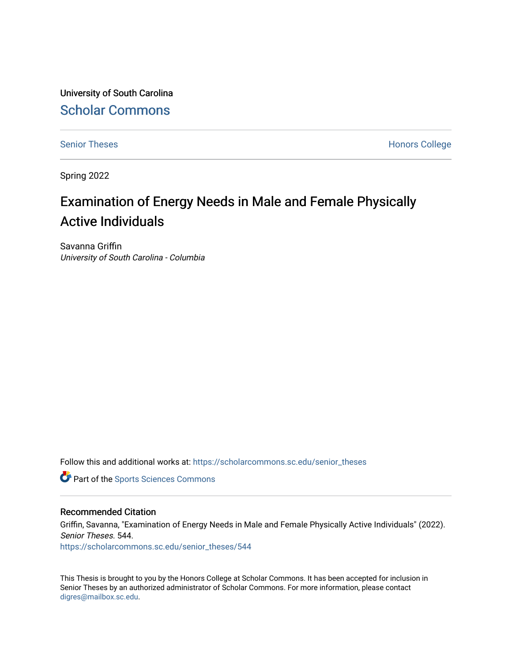University of South Carolina [Scholar Commons](https://scholarcommons.sc.edu/) 

[Senior Theses](https://scholarcommons.sc.edu/senior_theses) **Honors College** Honors College

Spring 2022

# Examination of Energy Needs in Male and Female Physically Active Individuals

Savanna Griffin University of South Carolina - Columbia

Follow this and additional works at: [https://scholarcommons.sc.edu/senior\\_theses](https://scholarcommons.sc.edu/senior_theses?utm_source=scholarcommons.sc.edu%2Fsenior_theses%2F544&utm_medium=PDF&utm_campaign=PDFCoverPages) 

**Part of the Sports Sciences Commons** 

#### Recommended Citation

Griffin, Savanna, "Examination of Energy Needs in Male and Female Physically Active Individuals" (2022). Senior Theses. 544. [https://scholarcommons.sc.edu/senior\\_theses/544](https://scholarcommons.sc.edu/senior_theses/544?utm_source=scholarcommons.sc.edu%2Fsenior_theses%2F544&utm_medium=PDF&utm_campaign=PDFCoverPages) 

This Thesis is brought to you by the Honors College at Scholar Commons. It has been accepted for inclusion in Senior Theses by an authorized administrator of Scholar Commons. For more information, please contact [digres@mailbox.sc.edu](mailto:digres@mailbox.sc.edu).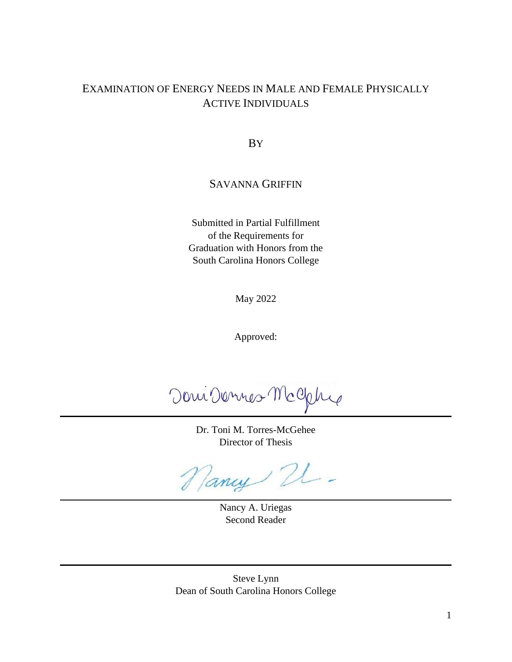## EXAMINATION OF ENERGY NEEDS IN MALE AND FEMALE PHYSICALLY ACTIVE INDIVIDUALS

BY

### SAVANNA GRIFFIN

Submitted in Partial Fulfillment of the Requirements for Graduation with Honors from the South Carolina Honors College

May 2022

Approved:

Doni Dennes McCletre

Dr. Toni M. Torres-McGehee Director of Thesis

Nancy 21 -

Nancy A. Uriegas Second Reader

Steve Lynn Dean of South Carolina Honors College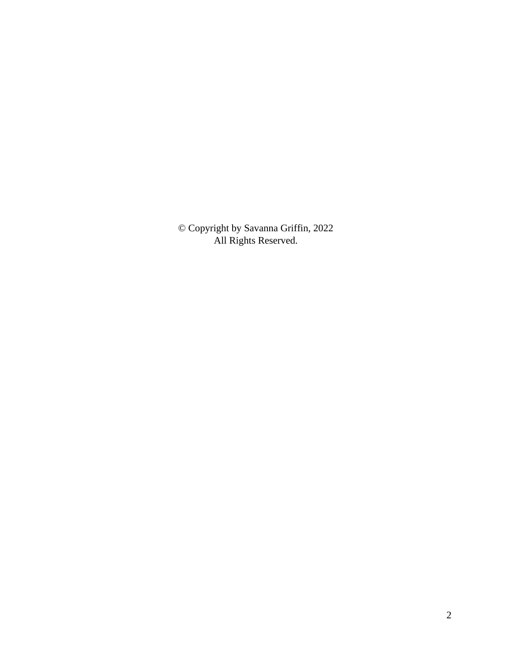© Copyright by Savanna Griffin, 2022 All Rights Reserved.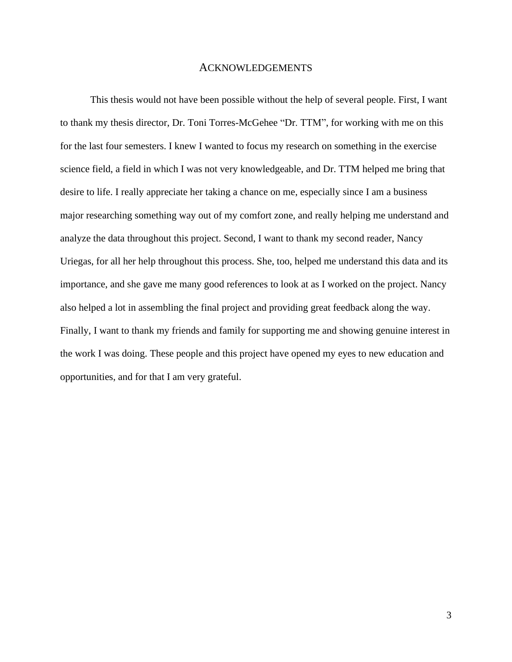#### ACKNOWLEDGEMENTS

This thesis would not have been possible without the help of several people. First, I want to thank my thesis director, Dr. Toni Torres-McGehee "Dr. TTM", for working with me on this for the last four semesters. I knew I wanted to focus my research on something in the exercise science field, a field in which I was not very knowledgeable, and Dr. TTM helped me bring that desire to life. I really appreciate her taking a chance on me, especially since I am a business major researching something way out of my comfort zone, and really helping me understand and analyze the data throughout this project. Second, I want to thank my second reader, Nancy Uriegas, for all her help throughout this process. She, too, helped me understand this data and its importance, and she gave me many good references to look at as I worked on the project. Nancy also helped a lot in assembling the final project and providing great feedback along the way. Finally, I want to thank my friends and family for supporting me and showing genuine interest in the work I was doing. These people and this project have opened my eyes to new education and opportunities, and for that I am very grateful.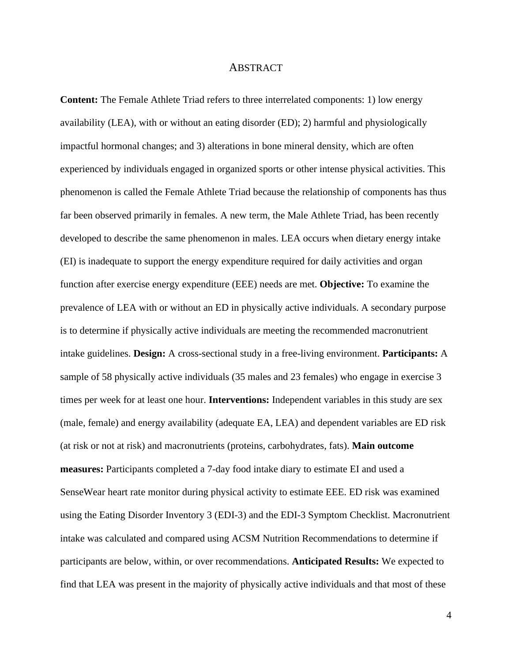#### ABSTRACT

**Content:** The Female Athlete Triad refers to three interrelated components: 1) low energy availability (LEA), with or without an eating disorder (ED); 2) harmful and physiologically impactful hormonal changes; and 3) alterations in bone mineral density, which are often experienced by individuals engaged in organized sports or other intense physical activities. This phenomenon is called the Female Athlete Triad because the relationship of components has thus far been observed primarily in females. A new term, the Male Athlete Triad, has been recently developed to describe the same phenomenon in males. LEA occurs when dietary energy intake (EI) is inadequate to support the energy expenditure required for daily activities and organ function after exercise energy expenditure (EEE) needs are met. **Objective:** To examine the prevalence of LEA with or without an ED in physically active individuals. A secondary purpose is to determine if physically active individuals are meeting the recommended macronutrient intake guidelines. **Design:** A cross-sectional study in a free-living environment. **Participants:** A sample of 58 physically active individuals (35 males and 23 females) who engage in exercise 3 times per week for at least one hour. **Interventions:** Independent variables in this study are sex (male, female) and energy availability (adequate EA, LEA) and dependent variables are ED risk (at risk or not at risk) and macronutrients (proteins, carbohydrates, fats). **Main outcome measures:** Participants completed a 7-day food intake diary to estimate EI and used a SenseWear heart rate monitor during physical activity to estimate EEE. ED risk was examined using the Eating Disorder Inventory 3 (EDI-3) and the EDI-3 Symptom Checklist. Macronutrient intake was calculated and compared using ACSM Nutrition Recommendations to determine if participants are below, within, or over recommendations. **Anticipated Results:** We expected to find that LEA was present in the majority of physically active individuals and that most of these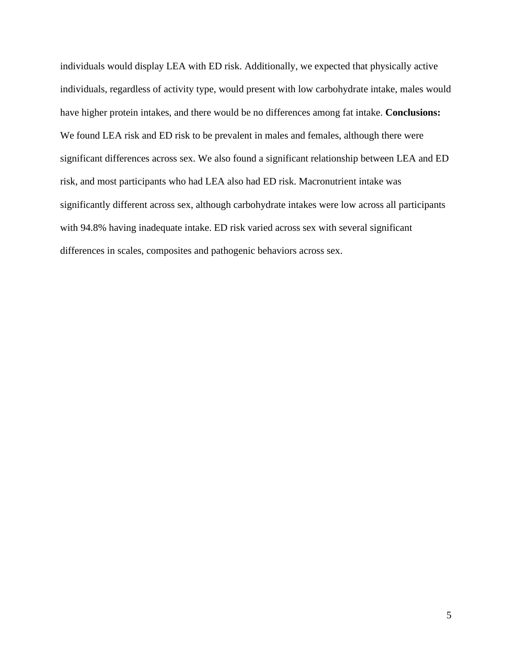individuals would display LEA with ED risk. Additionally, we expected that physically active individuals, regardless of activity type, would present with low carbohydrate intake, males would have higher protein intakes, and there would be no differences among fat intake. **Conclusions:**  We found LEA risk and ED risk to be prevalent in males and females, although there were significant differences across sex. We also found a significant relationship between LEA and ED risk, and most participants who had LEA also had ED risk. Macronutrient intake was significantly different across sex, although carbohydrate intakes were low across all participants with 94.8% having inadequate intake. ED risk varied across sex with several significant differences in scales, composites and pathogenic behaviors across sex.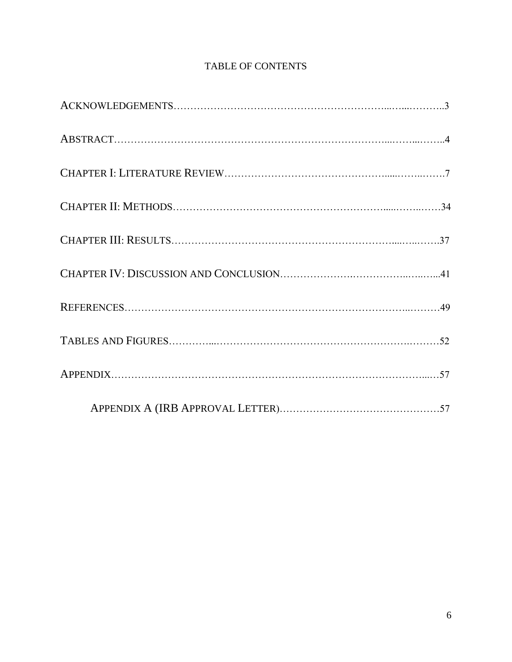## TABLE OF CONTENTS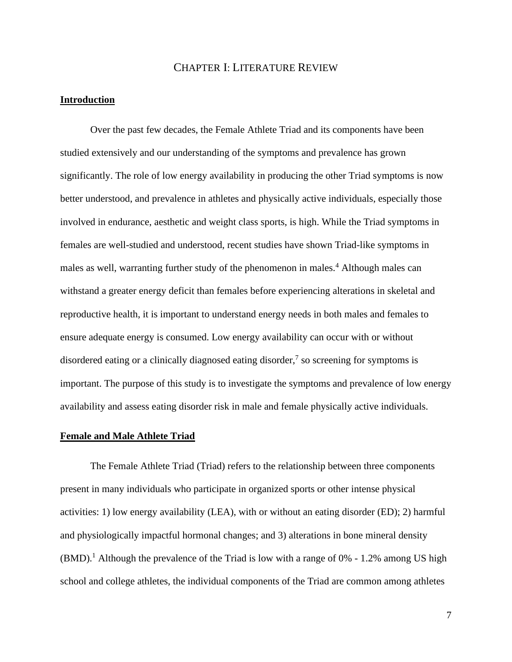#### CHAPTER I: LITERATURE REVIEW

#### **Introduction**

Over the past few decades, the Female Athlete Triad and its components have been studied extensively and our understanding of the symptoms and prevalence has grown significantly. The role of low energy availability in producing the other Triad symptoms is now better understood, and prevalence in athletes and physically active individuals, especially those involved in endurance, aesthetic and weight class sports, is high. While the Triad symptoms in females are well-studied and understood, recent studies have shown Triad-like symptoms in males as well, warranting further study of the phenomenon in males.<sup>4</sup> Although males can withstand a greater energy deficit than females before experiencing alterations in skeletal and reproductive health, it is important to understand energy needs in both males and females to ensure adequate energy is consumed. Low energy availability can occur with or without disordered eating or a clinically diagnosed eating disorder, $\frac{7}{1}$  so screening for symptoms is important. The purpose of this study is to investigate the symptoms and prevalence of low energy availability and assess eating disorder risk in male and female physically active individuals.

#### **Female and Male Athlete Triad**

The Female Athlete Triad (Triad) refers to the relationship between three components present in many individuals who participate in organized sports or other intense physical activities: 1) low energy availability (LEA), with or without an eating disorder (ED); 2) harmful and physiologically impactful hormonal changes; and 3) alterations in bone mineral density  $(BMD).$ <sup>1</sup> Although the prevalence of the Triad is low with a range of 0% - 1.2% among US high school and college athletes, the individual components of the Triad are common among athletes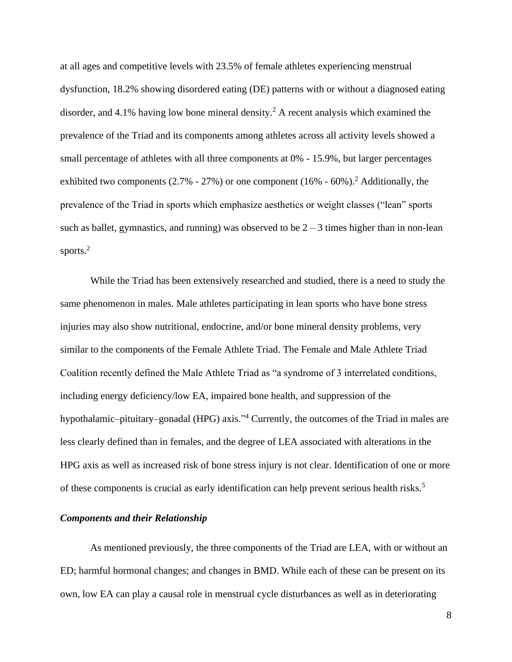at all ages and competitive levels with 23.5% of female athletes experiencing menstrual dysfunction, 18.2% showing disordered eating (DE) patterns with or without a diagnosed eating disorder, and 4.1% having low bone mineral density.<sup>2</sup> A recent analysis which examined the prevalence of the Triad and its components among athletes across all activity levels showed a small percentage of athletes with all three components at 0% - 15.9%, but larger percentages exhibited two components (2.7% - 27%) or one component (16% - 60%).<sup>2</sup> Additionally, the prevalence of the Triad in sports which emphasize aesthetics or weight classes ("lean" sports such as ballet, gymnastics, and running) was observed to be  $2 - 3$  times higher than in non-lean sports.<sup>2</sup>

While the Triad has been extensively researched and studied, there is a need to study the same phenomenon in males. Male athletes participating in lean sports who have bone stress injuries may also show nutritional, endocrine, and/or bone mineral density problems, very similar to the components of the Female Athlete Triad. The Female and Male Athlete Triad Coalition recently defined the Male Athlete Triad as "a syndrome of 3 interrelated conditions, including energy deficiency/low EA, impaired bone health, and suppression of the hypothalamic–pituitary–gonadal (HPG) axis."<sup>4</sup> Currently, the outcomes of the Triad in males are less clearly defined than in females, and the degree of LEA associated with alterations in the HPG axis as well as increased risk of bone stress injury is not clear. Identification of one or more of these components is crucial as early identification can help prevent serious health risks.<sup>5</sup>

#### *Components and their Relationship*

As mentioned previously, the three components of the Triad are LEA, with or without an ED; harmful hormonal changes; and changes in BMD. While each of these can be present on its own, low EA can play a causal role in menstrual cycle disturbances as well as in deteriorating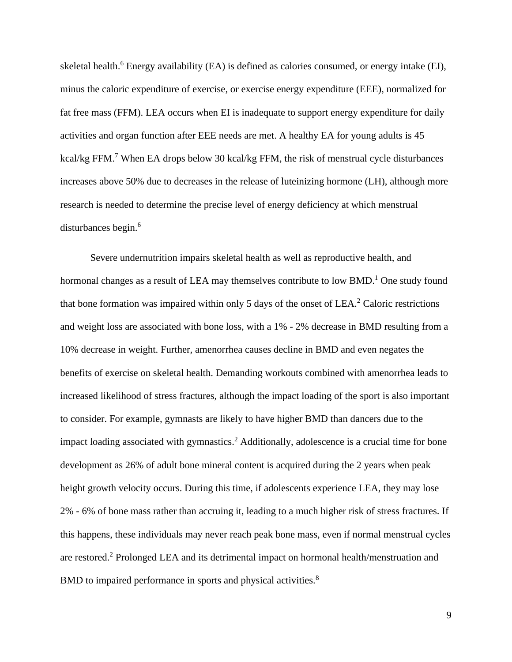skeletal health.<sup>6</sup> Energy availability (EA) is defined as calories consumed, or energy intake (EI), minus the caloric expenditure of exercise, or exercise energy expenditure (EEE), normalized for fat free mass (FFM). LEA occurs when EI is inadequate to support energy expenditure for daily activities and organ function after EEE needs are met. A healthy EA for young adults is 45 kcal/kg FFM.<sup>7</sup> When EA drops below 30 kcal/kg FFM, the risk of menstrual cycle disturbances increases above 50% due to decreases in the release of luteinizing hormone (LH), although more research is needed to determine the precise level of energy deficiency at which menstrual disturbances begin.<sup>6</sup>

Severe undernutrition impairs skeletal health as well as reproductive health, and hormonal changes as a result of LEA may themselves contribute to low  $BMD<sup>1</sup>$  One study found that bone formation was impaired within only 5 days of the onset of  $LEA<sup>2</sup>$  Caloric restrictions and weight loss are associated with bone loss, with a 1% - 2% decrease in BMD resulting from a 10% decrease in weight. Further, amenorrhea causes decline in BMD and even negates the benefits of exercise on skeletal health. Demanding workouts combined with amenorrhea leads to increased likelihood of stress fractures, although the impact loading of the sport is also important to consider. For example, gymnasts are likely to have higher BMD than dancers due to the impact loading associated with gymnastics.<sup>2</sup> Additionally, adolescence is a crucial time for bone development as 26% of adult bone mineral content is acquired during the 2 years when peak height growth velocity occurs. During this time, if adolescents experience LEA, they may lose 2% - 6% of bone mass rather than accruing it, leading to a much higher risk of stress fractures. If this happens, these individuals may never reach peak bone mass, even if normal menstrual cycles are restored.<sup>2</sup> Prolonged LEA and its detrimental impact on hormonal health/menstruation and BMD to impaired performance in sports and physical activities.<sup>8</sup>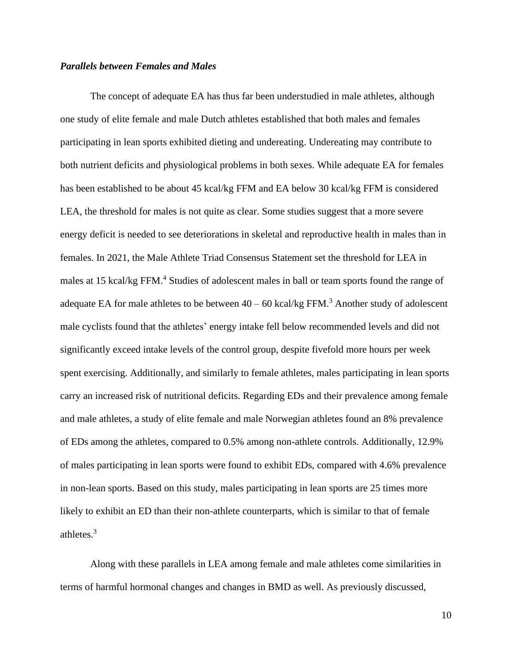#### *Parallels between Females and Males*

The concept of adequate EA has thus far been understudied in male athletes, although one study of elite female and male Dutch athletes established that both males and females participating in lean sports exhibited dieting and undereating. Undereating may contribute to both nutrient deficits and physiological problems in both sexes. While adequate EA for females has been established to be about 45 kcal/kg FFM and EA below 30 kcal/kg FFM is considered LEA, the threshold for males is not quite as clear. Some studies suggest that a more severe energy deficit is needed to see deteriorations in skeletal and reproductive health in males than in females. In 2021, the Male Athlete Triad Consensus Statement set the threshold for LEA in males at 15 kcal/kg FFM.<sup>4</sup> Studies of adolescent males in ball or team sports found the range of adequate EA for male athletes to be between  $40 - 60$  kcal/kg FFM.<sup>3</sup> Another study of adolescent male cyclists found that the athletes' energy intake fell below recommended levels and did not significantly exceed intake levels of the control group, despite fivefold more hours per week spent exercising. Additionally, and similarly to female athletes, males participating in lean sports carry an increased risk of nutritional deficits. Regarding EDs and their prevalence among female and male athletes, a study of elite female and male Norwegian athletes found an 8% prevalence of EDs among the athletes, compared to 0.5% among non-athlete controls. Additionally, 12.9% of males participating in lean sports were found to exhibit EDs, compared with 4.6% prevalence in non-lean sports. Based on this study, males participating in lean sports are 25 times more likely to exhibit an ED than their non-athlete counterparts, which is similar to that of female athletes.<sup>3</sup>

Along with these parallels in LEA among female and male athletes come similarities in terms of harmful hormonal changes and changes in BMD as well. As previously discussed,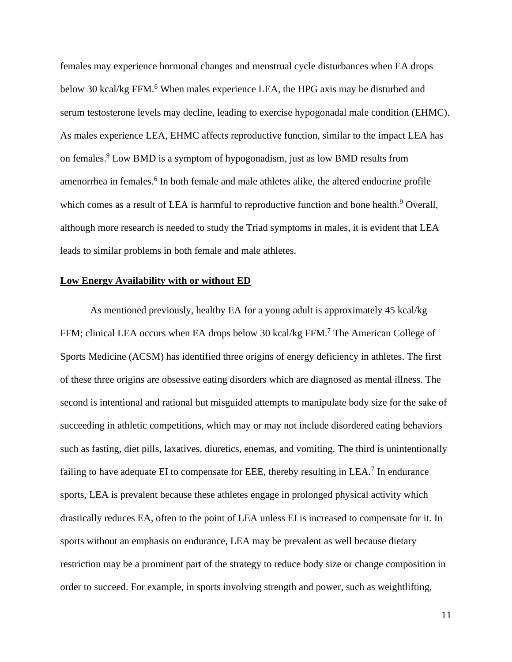females may experience hormonal changes and menstrual cycle disturbances when EA drops below 30 kcal/kg FFM.<sup>6</sup> When males experience LEA, the HPG axis may be disturbed and serum testosterone levels may decline, leading to exercise hypogonadal male condition (EHMC). As males experience LEA, EHMC affects reproductive function, similar to the impact LEA has on females.<sup>9</sup> Low BMD is a symptom of hypogonadism, just as low BMD results from amenorrhea in females.<sup>6</sup> In both female and male athletes alike, the altered endocrine profile which comes as a result of LEA is harmful to reproductive function and bone health.<sup>9</sup> Overall, although more research is needed to study the Triad symptoms in males, it is evident that LEA leads to similar problems in both female and male athletes.

#### **Low Energy Availability with or without ED**

As mentioned previously, healthy EA for a young adult is approximately 45 kcal/kg FFM; clinical LEA occurs when EA drops below 30 kcal/kg FFM.<sup>7</sup> The American College of Sports Medicine (ACSM) has identified three origins of energy deficiency in athletes. The first of these three origins are obsessive eating disorders which are diagnosed as mental illness. The second is intentional and rational but misguided attempts to manipulate body size for the sake of succeeding in athletic competitions, which may or may not include disordered eating behaviors such as fasting, diet pills, laxatives, diuretics, enemas, and vomiting. The third is unintentionally failing to have adequate EI to compensate for EEE, thereby resulting in LEA.<sup>7</sup> In endurance sports, LEA is prevalent because these athletes engage in prolonged physical activity which drastically reduces EA, often to the point of LEA unless EI is increased to compensate for it. In sports without an emphasis on endurance, LEA may be prevalent as well because dietary restriction may be a prominent part of the strategy to reduce body size or change composition in order to succeed. For example, in sports involving strength and power, such as weightlifting,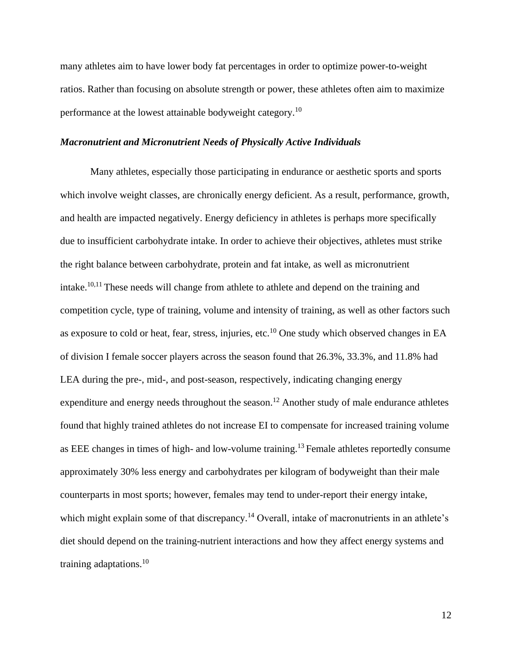many athletes aim to have lower body fat percentages in order to optimize power-to-weight ratios. Rather than focusing on absolute strength or power, these athletes often aim to maximize performance at the lowest attainable bodyweight category.<sup>10</sup>

#### *Macronutrient and Micronutrient Needs of Physically Active Individuals*

Many athletes, especially those participating in endurance or aesthetic sports and sports which involve weight classes, are chronically energy deficient. As a result, performance, growth, and health are impacted negatively. Energy deficiency in athletes is perhaps more specifically due to insufficient carbohydrate intake. In order to achieve their objectives, athletes must strike the right balance between carbohydrate, protein and fat intake, as well as micronutrient intake.10,11 These needs will change from athlete to athlete and depend on the training and competition cycle, type of training, volume and intensity of training, as well as other factors such as exposure to cold or heat, fear, stress, injuries, etc.<sup>10</sup> One study which observed changes in EA of division I female soccer players across the season found that 26.3%, 33.3%, and 11.8% had LEA during the pre-, mid-, and post-season, respectively, indicating changing energy expenditure and energy needs throughout the season.<sup>12</sup> Another study of male endurance athletes found that highly trained athletes do not increase EI to compensate for increased training volume as EEE changes in times of high- and low-volume training.<sup>13</sup> Female athletes reportedly consume approximately 30% less energy and carbohydrates per kilogram of bodyweight than their male counterparts in most sports; however, females may tend to under-report their energy intake, which might explain some of that discrepancy.<sup>14</sup> Overall, intake of macronutrients in an athlete's diet should depend on the training-nutrient interactions and how they affect energy systems and training adaptations.<sup>10</sup>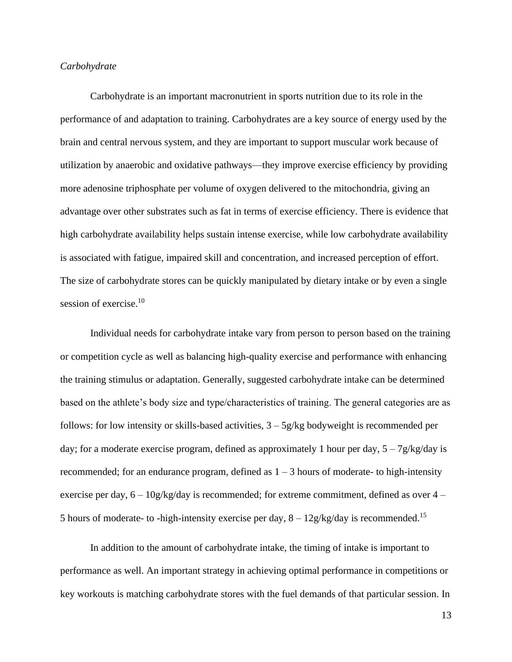#### *Carbohydrate*

Carbohydrate is an important macronutrient in sports nutrition due to its role in the performance of and adaptation to training. Carbohydrates are a key source of energy used by the brain and central nervous system, and they are important to support muscular work because of utilization by anaerobic and oxidative pathways—they improve exercise efficiency by providing more adenosine triphosphate per volume of oxygen delivered to the mitochondria, giving an advantage over other substrates such as fat in terms of exercise efficiency. There is evidence that high carbohydrate availability helps sustain intense exercise, while low carbohydrate availability is associated with fatigue, impaired skill and concentration, and increased perception of effort. The size of carbohydrate stores can be quickly manipulated by dietary intake or by even a single session of exercise.<sup>10</sup>

Individual needs for carbohydrate intake vary from person to person based on the training or competition cycle as well as balancing high-quality exercise and performance with enhancing the training stimulus or adaptation. Generally, suggested carbohydrate intake can be determined based on the athlete's body size and type/characteristics of training. The general categories are as follows: for low intensity or skills-based activities,  $3 - 5g/kg$  bodyweight is recommended per day; for a moderate exercise program, defined as approximately 1 hour per day,  $5 - 7g/kg/day$  is recommended; for an endurance program, defined as  $1 - 3$  hours of moderate- to high-intensity exercise per day,  $6 - 10g/kg/day$  is recommended; for extreme commitment, defined as over  $4 -$ 5 hours of moderate- to -high-intensity exercise per day,  $8 - 12g/kg/day$  is recommended.<sup>15</sup>

In addition to the amount of carbohydrate intake, the timing of intake is important to performance as well. An important strategy in achieving optimal performance in competitions or key workouts is matching carbohydrate stores with the fuel demands of that particular session. In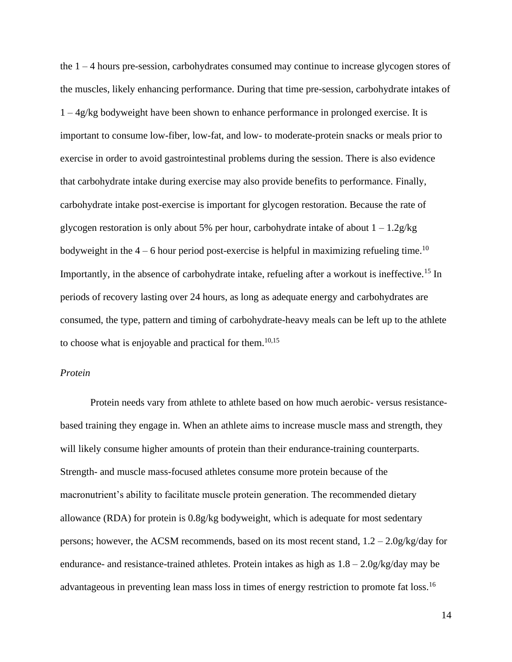the 1 – 4 hours pre-session, carbohydrates consumed may continue to increase glycogen stores of the muscles, likely enhancing performance. During that time pre-session, carbohydrate intakes of  $1 - \frac{4g}{kg}$  bodyweight have been shown to enhance performance in prolonged exercise. It is important to consume low-fiber, low-fat, and low- to moderate-protein snacks or meals prior to exercise in order to avoid gastrointestinal problems during the session. There is also evidence that carbohydrate intake during exercise may also provide benefits to performance. Finally, carbohydrate intake post-exercise is important for glycogen restoration. Because the rate of glycogen restoration is only about 5% per hour, carbohydrate intake of about  $1 - 1.2g/kg$ bodyweight in the  $4 - 6$  hour period post-exercise is helpful in maximizing refueling time.<sup>10</sup> Importantly, in the absence of carbohydrate intake, refueling after a workout is ineffective.<sup>15</sup> In periods of recovery lasting over 24 hours, as long as adequate energy and carbohydrates are consumed, the type, pattern and timing of carbohydrate-heavy meals can be left up to the athlete to choose what is enjoyable and practical for them.<sup>10,15</sup>

#### *Protein*

Protein needs vary from athlete to athlete based on how much aerobic- versus resistancebased training they engage in. When an athlete aims to increase muscle mass and strength, they will likely consume higher amounts of protein than their endurance-training counterparts. Strength- and muscle mass-focused athletes consume more protein because of the macronutrient's ability to facilitate muscle protein generation. The recommended dietary allowance (RDA) for protein is 0.8g/kg bodyweight, which is adequate for most sedentary persons; however, the ACSM recommends, based on its most recent stand,  $1.2 - 2.0g/kg/day$  for endurance- and resistance-trained athletes. Protein intakes as high as 1.8 – 2.0g/kg/day may be advantageous in preventing lean mass loss in times of energy restriction to promote fat loss.<sup>16</sup>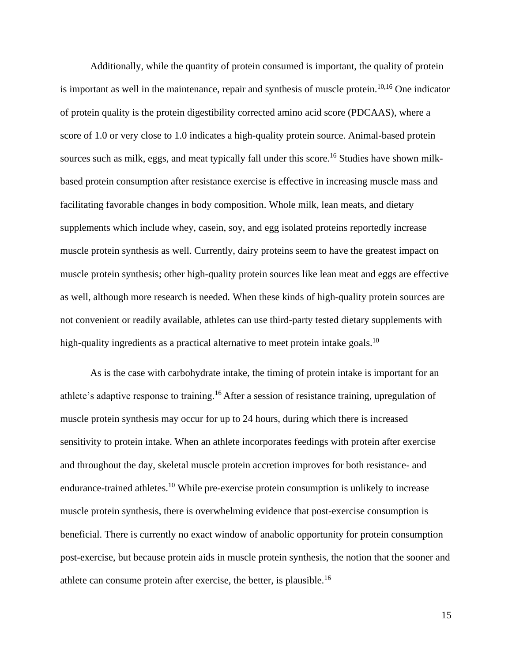Additionally, while the quantity of protein consumed is important, the quality of protein is important as well in the maintenance, repair and synthesis of muscle protein.<sup>10,16</sup> One indicator of protein quality is the protein digestibility corrected amino acid score (PDCAAS), where a score of 1.0 or very close to 1.0 indicates a high-quality protein source. Animal-based protein sources such as milk, eggs, and meat typically fall under this score.<sup>16</sup> Studies have shown milkbased protein consumption after resistance exercise is effective in increasing muscle mass and facilitating favorable changes in body composition. Whole milk, lean meats, and dietary supplements which include whey, casein, soy, and egg isolated proteins reportedly increase muscle protein synthesis as well. Currently, dairy proteins seem to have the greatest impact on muscle protein synthesis; other high-quality protein sources like lean meat and eggs are effective as well, although more research is needed. When these kinds of high-quality protein sources are not convenient or readily available, athletes can use third-party tested dietary supplements with high-quality ingredients as a practical alternative to meet protein intake goals.<sup>10</sup>

As is the case with carbohydrate intake, the timing of protein intake is important for an athlete's adaptive response to training.<sup>16</sup>After a session of resistance training, upregulation of muscle protein synthesis may occur for up to 24 hours, during which there is increased sensitivity to protein intake. When an athlete incorporates feedings with protein after exercise and throughout the day, skeletal muscle protein accretion improves for both resistance- and endurance-trained athletes.<sup>10</sup> While pre-exercise protein consumption is unlikely to increase muscle protein synthesis, there is overwhelming evidence that post-exercise consumption is beneficial. There is currently no exact window of anabolic opportunity for protein consumption post-exercise, but because protein aids in muscle protein synthesis, the notion that the sooner and athlete can consume protein after exercise, the better, is plausible.<sup>16</sup>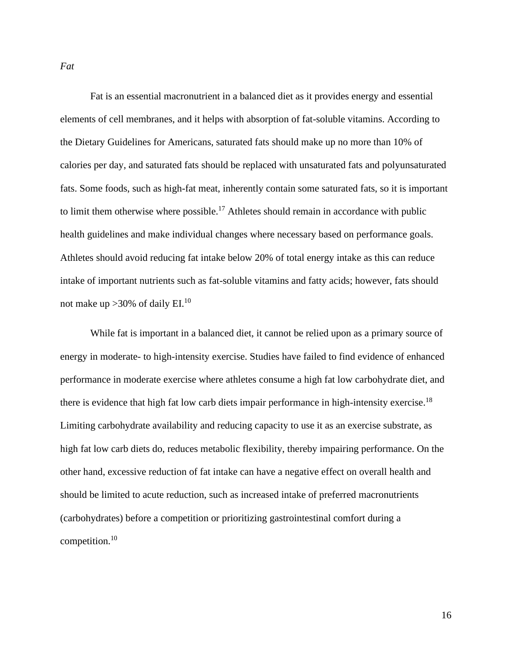*Fat*

Fat is an essential macronutrient in a balanced diet as it provides energy and essential elements of cell membranes, and it helps with absorption of fat-soluble vitamins. According to the Dietary Guidelines for Americans, saturated fats should make up no more than 10% of calories per day, and saturated fats should be replaced with unsaturated fats and polyunsaturated fats. Some foods, such as high-fat meat, inherently contain some saturated fats, so it is important to limit them otherwise where possible.<sup>17</sup> Athletes should remain in accordance with public health guidelines and make individual changes where necessary based on performance goals. Athletes should avoid reducing fat intake below 20% of total energy intake as this can reduce intake of important nutrients such as fat-soluble vitamins and fatty acids; however, fats should not make up  $>30\%$  of daily EI.<sup>10</sup>

While fat is important in a balanced diet, it cannot be relied upon as a primary source of energy in moderate- to high-intensity exercise. Studies have failed to find evidence of enhanced performance in moderate exercise where athletes consume a high fat low carbohydrate diet, and there is evidence that high fat low carb diets impair performance in high-intensity exercise.<sup>18</sup> Limiting carbohydrate availability and reducing capacity to use it as an exercise substrate, as high fat low carb diets do, reduces metabolic flexibility, thereby impairing performance. On the other hand, excessive reduction of fat intake can have a negative effect on overall health and should be limited to acute reduction, such as increased intake of preferred macronutrients (carbohydrates) before a competition or prioritizing gastrointestinal comfort during a competition.<sup>10</sup>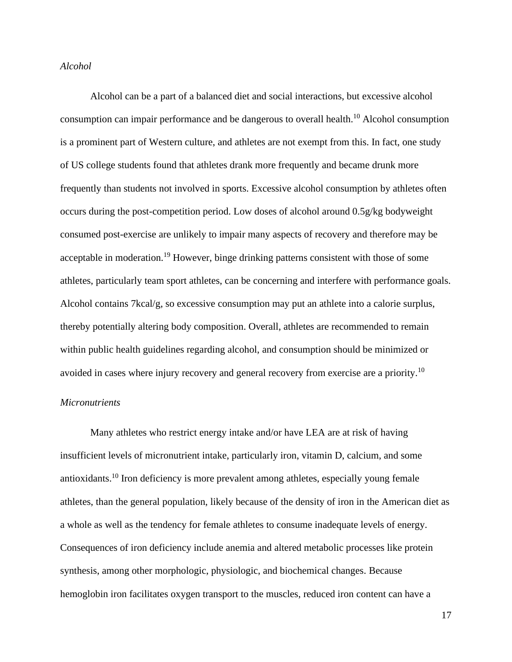#### *Alcohol*

Alcohol can be a part of a balanced diet and social interactions, but excessive alcohol consumption can impair performance and be dangerous to overall health.<sup>10</sup> Alcohol consumption is a prominent part of Western culture, and athletes are not exempt from this. In fact, one study of US college students found that athletes drank more frequently and became drunk more frequently than students not involved in sports. Excessive alcohol consumption by athletes often occurs during the post-competition period. Low doses of alcohol around 0.5g/kg bodyweight consumed post-exercise are unlikely to impair many aspects of recovery and therefore may be acceptable in moderation.<sup>19</sup> However, binge drinking patterns consistent with those of some athletes, particularly team sport athletes, can be concerning and interfere with performance goals. Alcohol contains 7kcal/g, so excessive consumption may put an athlete into a calorie surplus, thereby potentially altering body composition. Overall, athletes are recommended to remain within public health guidelines regarding alcohol, and consumption should be minimized or avoided in cases where injury recovery and general recovery from exercise are a priority.<sup>10</sup>

#### *Micronutrients*

Many athletes who restrict energy intake and/or have LEA are at risk of having insufficient levels of micronutrient intake, particularly iron, vitamin D, calcium, and some antioxidants.<sup>10</sup> Iron deficiency is more prevalent among athletes, especially young female athletes, than the general population, likely because of the density of iron in the American diet as a whole as well as the tendency for female athletes to consume inadequate levels of energy. Consequences of iron deficiency include anemia and altered metabolic processes like protein synthesis, among other morphologic, physiologic, and biochemical changes. Because hemoglobin iron facilitates oxygen transport to the muscles, reduced iron content can have a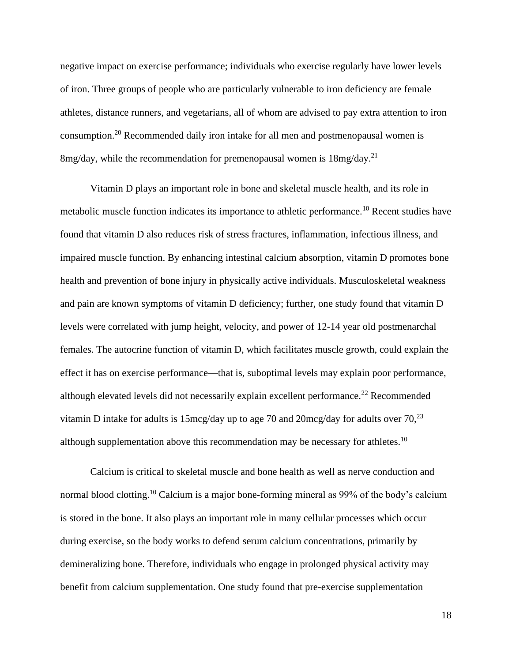negative impact on exercise performance; individuals who exercise regularly have lower levels of iron. Three groups of people who are particularly vulnerable to iron deficiency are female athletes, distance runners, and vegetarians, all of whom are advised to pay extra attention to iron consumption.<sup>20</sup> Recommended daily iron intake for all men and postmenopausal women is 8mg/day, while the recommendation for premenopausal women is 18mg/day.<sup>21</sup>

Vitamin D plays an important role in bone and skeletal muscle health, and its role in metabolic muscle function indicates its importance to athletic performance.<sup>10</sup> Recent studies have found that vitamin D also reduces risk of stress fractures, inflammation, infectious illness, and impaired muscle function. By enhancing intestinal calcium absorption, vitamin D promotes bone health and prevention of bone injury in physically active individuals. Musculoskeletal weakness and pain are known symptoms of vitamin D deficiency; further, one study found that vitamin D levels were correlated with jump height, velocity, and power of 12-14 year old postmenarchal females. The autocrine function of vitamin D, which facilitates muscle growth, could explain the effect it has on exercise performance—that is, suboptimal levels may explain poor performance, although elevated levels did not necessarily explain excellent performance.<sup>22</sup> Recommended vitamin D intake for adults is 15mcg/day up to age 70 and 20mcg/day for adults over  $70$ ,  $^{23}$ although supplementation above this recommendation may be necessary for athletes.<sup>10</sup>

Calcium is critical to skeletal muscle and bone health as well as nerve conduction and normal blood clotting.<sup>10</sup> Calcium is a major bone-forming mineral as 99% of the body's calcium is stored in the bone. It also plays an important role in many cellular processes which occur during exercise, so the body works to defend serum calcium concentrations, primarily by demineralizing bone. Therefore, individuals who engage in prolonged physical activity may benefit from calcium supplementation. One study found that pre-exercise supplementation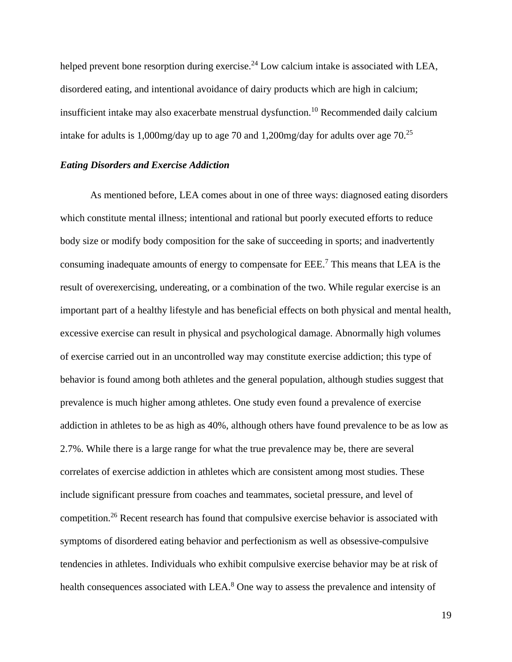helped prevent bone resorption during exercise.<sup>24</sup> Low calcium intake is associated with LEA, disordered eating, and intentional avoidance of dairy products which are high in calcium; insufficient intake may also exacerbate menstrual dysfunction.<sup>10</sup> Recommended daily calcium intake for adults is 1,000mg/day up to age 70 and 1,200mg/day for adults over age  $70^{25}$ 

### *Eating Disorders and Exercise Addiction*

As mentioned before, LEA comes about in one of three ways: diagnosed eating disorders which constitute mental illness; intentional and rational but poorly executed efforts to reduce body size or modify body composition for the sake of succeeding in sports; and inadvertently consuming inadequate amounts of energy to compensate for EEE.<sup>7</sup> This means that LEA is the result of overexercising, undereating, or a combination of the two. While regular exercise is an important part of a healthy lifestyle and has beneficial effects on both physical and mental health, excessive exercise can result in physical and psychological damage. Abnormally high volumes of exercise carried out in an uncontrolled way may constitute exercise addiction; this type of behavior is found among both athletes and the general population, although studies suggest that prevalence is much higher among athletes. One study even found a prevalence of exercise addiction in athletes to be as high as 40%, although others have found prevalence to be as low as 2.7%. While there is a large range for what the true prevalence may be, there are several correlates of exercise addiction in athletes which are consistent among most studies. These include significant pressure from coaches and teammates, societal pressure, and level of competition.<sup>26</sup> Recent research has found that compulsive exercise behavior is associated with symptoms of disordered eating behavior and perfectionism as well as obsessive-compulsive tendencies in athletes. Individuals who exhibit compulsive exercise behavior may be at risk of health consequences associated with LEA.<sup>8</sup> One way to assess the prevalence and intensity of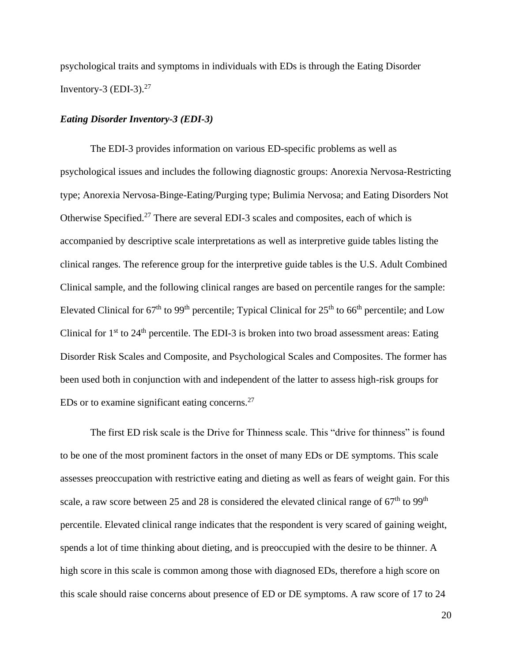psychological traits and symptoms in individuals with EDs is through the Eating Disorder Inventory-3 (EDI-3). $27$ 

#### *Eating Disorder Inventory-3 (EDI-3)*

The EDI-3 provides information on various ED-specific problems as well as psychological issues and includes the following diagnostic groups: Anorexia Nervosa-Restricting type; Anorexia Nervosa-Binge-Eating/Purging type; Bulimia Nervosa; and Eating Disorders Not Otherwise Specified.<sup>27</sup> There are several EDI-3 scales and composites, each of which is accompanied by descriptive scale interpretations as well as interpretive guide tables listing the clinical ranges. The reference group for the interpretive guide tables is the U.S. Adult Combined Clinical sample, and the following clinical ranges are based on percentile ranges for the sample: Elevated Clinical for  $67<sup>th</sup>$  to  $99<sup>th</sup>$  percentile; Typical Clinical for  $25<sup>th</sup>$  to  $66<sup>th</sup>$  percentile; and Low Clinical for  $1<sup>st</sup>$  to  $24<sup>th</sup>$  percentile. The EDI-3 is broken into two broad assessment areas: Eating Disorder Risk Scales and Composite, and Psychological Scales and Composites. The former has been used both in conjunction with and independent of the latter to assess high-risk groups for EDs or to examine significant eating concerns. $27$ 

The first ED risk scale is the Drive for Thinness scale. This "drive for thinness" is found to be one of the most prominent factors in the onset of many EDs or DE symptoms. This scale assesses preoccupation with restrictive eating and dieting as well as fears of weight gain. For this scale, a raw score between 25 and 28 is considered the elevated clinical range of  $67<sup>th</sup>$  to 99<sup>th</sup> percentile. Elevated clinical range indicates that the respondent is very scared of gaining weight, spends a lot of time thinking about dieting, and is preoccupied with the desire to be thinner. A high score in this scale is common among those with diagnosed EDs, therefore a high score on this scale should raise concerns about presence of ED or DE symptoms. A raw score of 17 to 24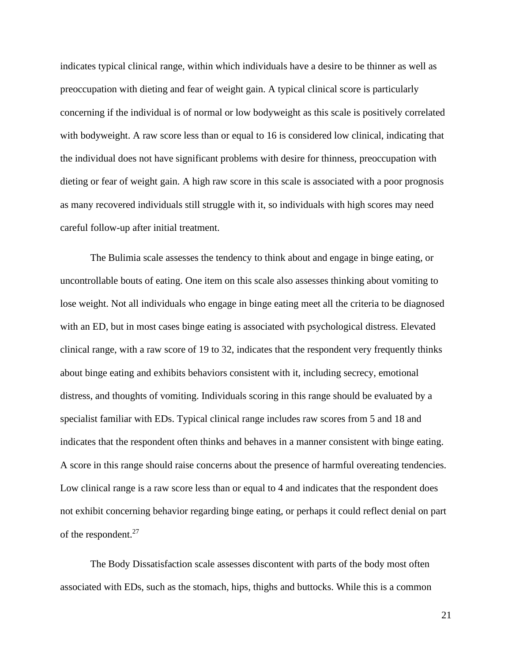indicates typical clinical range, within which individuals have a desire to be thinner as well as preoccupation with dieting and fear of weight gain. A typical clinical score is particularly concerning if the individual is of normal or low bodyweight as this scale is positively correlated with bodyweight. A raw score less than or equal to 16 is considered low clinical, indicating that the individual does not have significant problems with desire for thinness, preoccupation with dieting or fear of weight gain. A high raw score in this scale is associated with a poor prognosis as many recovered individuals still struggle with it, so individuals with high scores may need careful follow-up after initial treatment.

The Bulimia scale assesses the tendency to think about and engage in binge eating, or uncontrollable bouts of eating. One item on this scale also assesses thinking about vomiting to lose weight. Not all individuals who engage in binge eating meet all the criteria to be diagnosed with an ED, but in most cases binge eating is associated with psychological distress. Elevated clinical range, with a raw score of 19 to 32, indicates that the respondent very frequently thinks about binge eating and exhibits behaviors consistent with it, including secrecy, emotional distress, and thoughts of vomiting. Individuals scoring in this range should be evaluated by a specialist familiar with EDs. Typical clinical range includes raw scores from 5 and 18 and indicates that the respondent often thinks and behaves in a manner consistent with binge eating. A score in this range should raise concerns about the presence of harmful overeating tendencies. Low clinical range is a raw score less than or equal to 4 and indicates that the respondent does not exhibit concerning behavior regarding binge eating, or perhaps it could reflect denial on part of the respondent.<sup>27</sup>

The Body Dissatisfaction scale assesses discontent with parts of the body most often associated with EDs, such as the stomach, hips, thighs and buttocks. While this is a common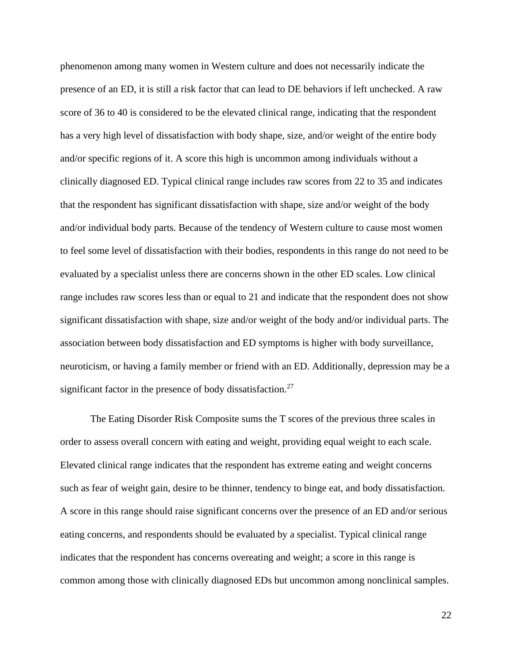phenomenon among many women in Western culture and does not necessarily indicate the presence of an ED, it is still a risk factor that can lead to DE behaviors if left unchecked. A raw score of 36 to 40 is considered to be the elevated clinical range, indicating that the respondent has a very high level of dissatisfaction with body shape, size, and/or weight of the entire body and/or specific regions of it. A score this high is uncommon among individuals without a clinically diagnosed ED. Typical clinical range includes raw scores from 22 to 35 and indicates that the respondent has significant dissatisfaction with shape, size and/or weight of the body and/or individual body parts. Because of the tendency of Western culture to cause most women to feel some level of dissatisfaction with their bodies, respondents in this range do not need to be evaluated by a specialist unless there are concerns shown in the other ED scales. Low clinical range includes raw scores less than or equal to 21 and indicate that the respondent does not show significant dissatisfaction with shape, size and/or weight of the body and/or individual parts. The association between body dissatisfaction and ED symptoms is higher with body surveillance, neuroticism, or having a family member or friend with an ED. Additionally, depression may be a significant factor in the presence of body dissatisfaction.<sup>27</sup>

The Eating Disorder Risk Composite sums the T scores of the previous three scales in order to assess overall concern with eating and weight, providing equal weight to each scale. Elevated clinical range indicates that the respondent has extreme eating and weight concerns such as fear of weight gain, desire to be thinner, tendency to binge eat, and body dissatisfaction. A score in this range should raise significant concerns over the presence of an ED and/or serious eating concerns, and respondents should be evaluated by a specialist. Typical clinical range indicates that the respondent has concerns overeating and weight; a score in this range is common among those with clinically diagnosed EDs but uncommon among nonclinical samples.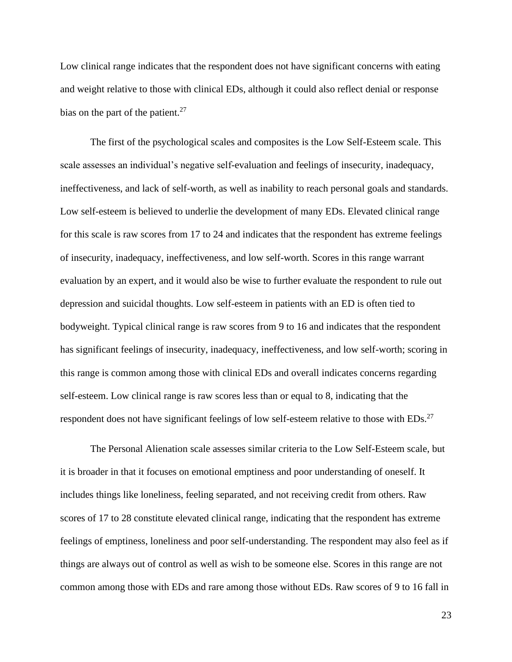Low clinical range indicates that the respondent does not have significant concerns with eating and weight relative to those with clinical EDs, although it could also reflect denial or response bias on the part of the patient.<sup>27</sup>

The first of the psychological scales and composites is the Low Self-Esteem scale. This scale assesses an individual's negative self-evaluation and feelings of insecurity, inadequacy, ineffectiveness, and lack of self-worth, as well as inability to reach personal goals and standards. Low self-esteem is believed to underlie the development of many EDs. Elevated clinical range for this scale is raw scores from 17 to 24 and indicates that the respondent has extreme feelings of insecurity, inadequacy, ineffectiveness, and low self-worth. Scores in this range warrant evaluation by an expert, and it would also be wise to further evaluate the respondent to rule out depression and suicidal thoughts. Low self-esteem in patients with an ED is often tied to bodyweight. Typical clinical range is raw scores from 9 to 16 and indicates that the respondent has significant feelings of insecurity, inadequacy, ineffectiveness, and low self-worth; scoring in this range is common among those with clinical EDs and overall indicates concerns regarding self-esteem. Low clinical range is raw scores less than or equal to 8, indicating that the respondent does not have significant feelings of low self-esteem relative to those with EDs.<sup>27</sup>

The Personal Alienation scale assesses similar criteria to the Low Self-Esteem scale, but it is broader in that it focuses on emotional emptiness and poor understanding of oneself. It includes things like loneliness, feeling separated, and not receiving credit from others. Raw scores of 17 to 28 constitute elevated clinical range, indicating that the respondent has extreme feelings of emptiness, loneliness and poor self-understanding. The respondent may also feel as if things are always out of control as well as wish to be someone else. Scores in this range are not common among those with EDs and rare among those without EDs. Raw scores of 9 to 16 fall in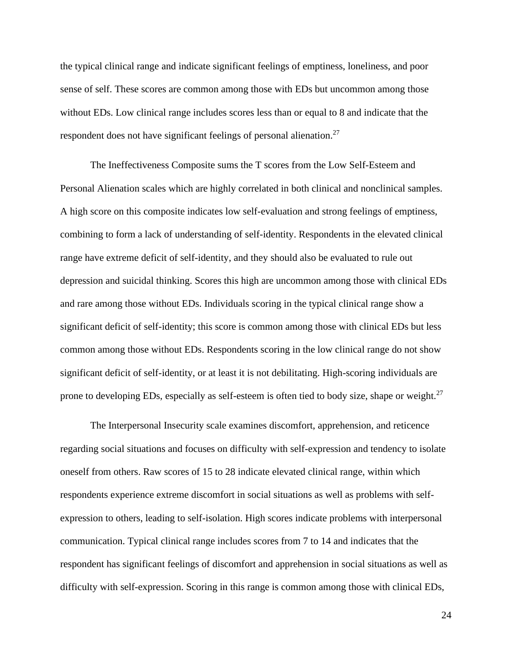the typical clinical range and indicate significant feelings of emptiness, loneliness, and poor sense of self. These scores are common among those with EDs but uncommon among those without EDs. Low clinical range includes scores less than or equal to 8 and indicate that the respondent does not have significant feelings of personal alienation.<sup>27</sup>

The Ineffectiveness Composite sums the T scores from the Low Self-Esteem and Personal Alienation scales which are highly correlated in both clinical and nonclinical samples. A high score on this composite indicates low self-evaluation and strong feelings of emptiness, combining to form a lack of understanding of self-identity. Respondents in the elevated clinical range have extreme deficit of self-identity, and they should also be evaluated to rule out depression and suicidal thinking. Scores this high are uncommon among those with clinical EDs and rare among those without EDs. Individuals scoring in the typical clinical range show a significant deficit of self-identity; this score is common among those with clinical EDs but less common among those without EDs. Respondents scoring in the low clinical range do not show significant deficit of self-identity, or at least it is not debilitating. High-scoring individuals are prone to developing EDs, especially as self-esteem is often tied to body size, shape or weight.<sup>27</sup>

The Interpersonal Insecurity scale examines discomfort, apprehension, and reticence regarding social situations and focuses on difficulty with self-expression and tendency to isolate oneself from others. Raw scores of 15 to 28 indicate elevated clinical range, within which respondents experience extreme discomfort in social situations as well as problems with selfexpression to others, leading to self-isolation. High scores indicate problems with interpersonal communication. Typical clinical range includes scores from 7 to 14 and indicates that the respondent has significant feelings of discomfort and apprehension in social situations as well as difficulty with self-expression. Scoring in this range is common among those with clinical EDs,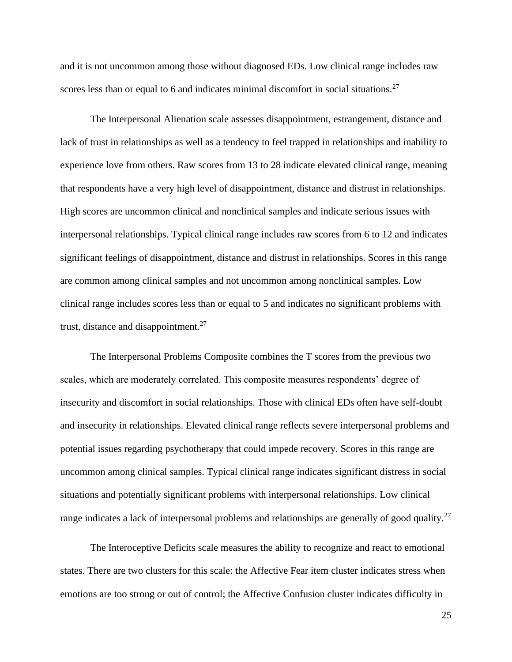and it is not uncommon among those without diagnosed EDs. Low clinical range includes raw scores less than or equal to 6 and indicates minimal discomfort in social situations.<sup>27</sup>

The Interpersonal Alienation scale assesses disappointment, estrangement, distance and lack of trust in relationships as well as a tendency to feel trapped in relationships and inability to experience love from others. Raw scores from 13 to 28 indicate elevated clinical range, meaning that respondents have a very high level of disappointment, distance and distrust in relationships. High scores are uncommon clinical and nonclinical samples and indicate serious issues with interpersonal relationships. Typical clinical range includes raw scores from 6 to 12 and indicates significant feelings of disappointment, distance and distrust in relationships. Scores in this range are common among clinical samples and not uncommon among nonclinical samples. Low clinical range includes scores less than or equal to 5 and indicates no significant problems with trust, distance and disappointment. $^{27}$ 

The Interpersonal Problems Composite combines the T scores from the previous two scales, which are moderately correlated. This composite measures respondents' degree of insecurity and discomfort in social relationships. Those with clinical EDs often have self-doubt and insecurity in relationships. Elevated clinical range reflects severe interpersonal problems and potential issues regarding psychotherapy that could impede recovery. Scores in this range are uncommon among clinical samples. Typical clinical range indicates significant distress in social situations and potentially significant problems with interpersonal relationships. Low clinical range indicates a lack of interpersonal problems and relationships are generally of good quality.<sup>27</sup>

The Interoceptive Deficits scale measures the ability to recognize and react to emotional states. There are two clusters for this scale: the Affective Fear item cluster indicates stress when emotions are too strong or out of control; the Affective Confusion cluster indicates difficulty in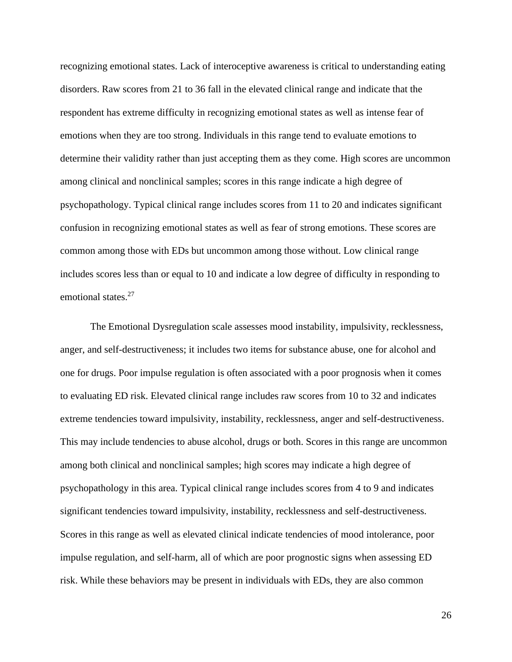recognizing emotional states. Lack of interoceptive awareness is critical to understanding eating disorders. Raw scores from 21 to 36 fall in the elevated clinical range and indicate that the respondent has extreme difficulty in recognizing emotional states as well as intense fear of emotions when they are too strong. Individuals in this range tend to evaluate emotions to determine their validity rather than just accepting them as they come. High scores are uncommon among clinical and nonclinical samples; scores in this range indicate a high degree of psychopathology. Typical clinical range includes scores from 11 to 20 and indicates significant confusion in recognizing emotional states as well as fear of strong emotions. These scores are common among those with EDs but uncommon among those without. Low clinical range includes scores less than or equal to 10 and indicate a low degree of difficulty in responding to emotional states.<sup>27</sup>

The Emotional Dysregulation scale assesses mood instability, impulsivity, recklessness, anger, and self-destructiveness; it includes two items for substance abuse, one for alcohol and one for drugs. Poor impulse regulation is often associated with a poor prognosis when it comes to evaluating ED risk. Elevated clinical range includes raw scores from 10 to 32 and indicates extreme tendencies toward impulsivity, instability, recklessness, anger and self-destructiveness. This may include tendencies to abuse alcohol, drugs or both. Scores in this range are uncommon among both clinical and nonclinical samples; high scores may indicate a high degree of psychopathology in this area. Typical clinical range includes scores from 4 to 9 and indicates significant tendencies toward impulsivity, instability, recklessness and self-destructiveness. Scores in this range as well as elevated clinical indicate tendencies of mood intolerance, poor impulse regulation, and self-harm, all of which are poor prognostic signs when assessing ED risk. While these behaviors may be present in individuals with EDs, they are also common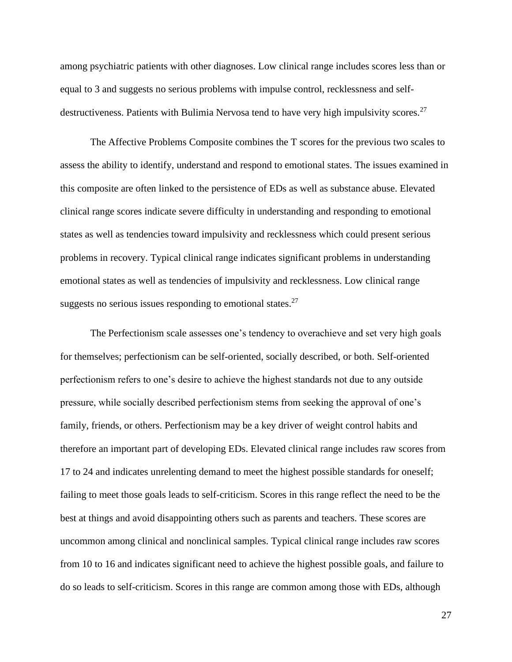among psychiatric patients with other diagnoses. Low clinical range includes scores less than or equal to 3 and suggests no serious problems with impulse control, recklessness and selfdestructiveness. Patients with Bulimia Nervosa tend to have very high impulsivity scores.<sup>27</sup>

The Affective Problems Composite combines the T scores for the previous two scales to assess the ability to identify, understand and respond to emotional states. The issues examined in this composite are often linked to the persistence of EDs as well as substance abuse. Elevated clinical range scores indicate severe difficulty in understanding and responding to emotional states as well as tendencies toward impulsivity and recklessness which could present serious problems in recovery. Typical clinical range indicates significant problems in understanding emotional states as well as tendencies of impulsivity and recklessness. Low clinical range suggests no serious issues responding to emotional states. $27$ 

The Perfectionism scale assesses one's tendency to overachieve and set very high goals for themselves; perfectionism can be self-oriented, socially described, or both. Self-oriented perfectionism refers to one's desire to achieve the highest standards not due to any outside pressure, while socially described perfectionism stems from seeking the approval of one's family, friends, or others. Perfectionism may be a key driver of weight control habits and therefore an important part of developing EDs. Elevated clinical range includes raw scores from 17 to 24 and indicates unrelenting demand to meet the highest possible standards for oneself; failing to meet those goals leads to self-criticism. Scores in this range reflect the need to be the best at things and avoid disappointing others such as parents and teachers. These scores are uncommon among clinical and nonclinical samples. Typical clinical range includes raw scores from 10 to 16 and indicates significant need to achieve the highest possible goals, and failure to do so leads to self-criticism. Scores in this range are common among those with EDs, although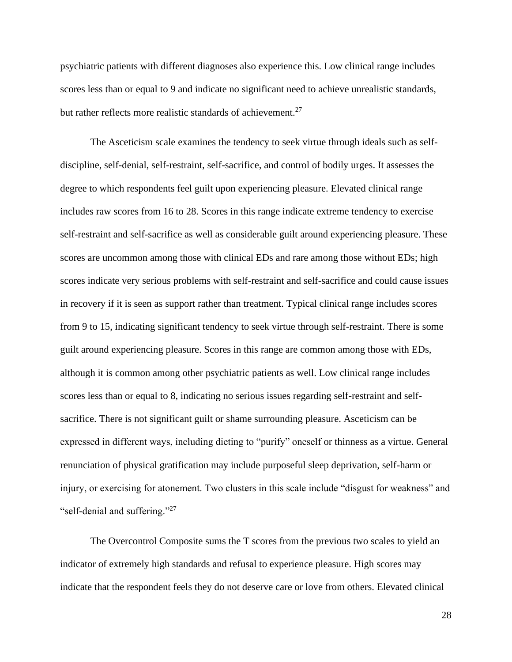psychiatric patients with different diagnoses also experience this. Low clinical range includes scores less than or equal to 9 and indicate no significant need to achieve unrealistic standards, but rather reflects more realistic standards of achievement.<sup>27</sup>

The Asceticism scale examines the tendency to seek virtue through ideals such as selfdiscipline, self-denial, self-restraint, self-sacrifice, and control of bodily urges. It assesses the degree to which respondents feel guilt upon experiencing pleasure. Elevated clinical range includes raw scores from 16 to 28. Scores in this range indicate extreme tendency to exercise self-restraint and self-sacrifice as well as considerable guilt around experiencing pleasure. These scores are uncommon among those with clinical EDs and rare among those without EDs; high scores indicate very serious problems with self-restraint and self-sacrifice and could cause issues in recovery if it is seen as support rather than treatment. Typical clinical range includes scores from 9 to 15, indicating significant tendency to seek virtue through self-restraint. There is some guilt around experiencing pleasure. Scores in this range are common among those with EDs, although it is common among other psychiatric patients as well. Low clinical range includes scores less than or equal to 8, indicating no serious issues regarding self-restraint and selfsacrifice. There is not significant guilt or shame surrounding pleasure. Asceticism can be expressed in different ways, including dieting to "purify" oneself or thinness as a virtue. General renunciation of physical gratification may include purposeful sleep deprivation, self-harm or injury, or exercising for atonement. Two clusters in this scale include "disgust for weakness" and "self-denial and suffering."<sup>27</sup>

The Overcontrol Composite sums the T scores from the previous two scales to yield an indicator of extremely high standards and refusal to experience pleasure. High scores may indicate that the respondent feels they do not deserve care or love from others. Elevated clinical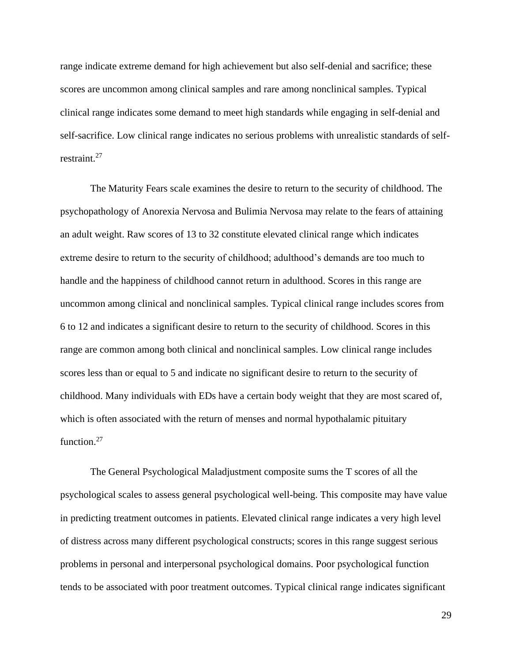range indicate extreme demand for high achievement but also self-denial and sacrifice; these scores are uncommon among clinical samples and rare among nonclinical samples. Typical clinical range indicates some demand to meet high standards while engaging in self-denial and self-sacrifice. Low clinical range indicates no serious problems with unrealistic standards of selfrestraint.<sup>27</sup>

The Maturity Fears scale examines the desire to return to the security of childhood. The psychopathology of Anorexia Nervosa and Bulimia Nervosa may relate to the fears of attaining an adult weight. Raw scores of 13 to 32 constitute elevated clinical range which indicates extreme desire to return to the security of childhood; adulthood's demands are too much to handle and the happiness of childhood cannot return in adulthood. Scores in this range are uncommon among clinical and nonclinical samples. Typical clinical range includes scores from 6 to 12 and indicates a significant desire to return to the security of childhood. Scores in this range are common among both clinical and nonclinical samples. Low clinical range includes scores less than or equal to 5 and indicate no significant desire to return to the security of childhood. Many individuals with EDs have a certain body weight that they are most scared of, which is often associated with the return of menses and normal hypothalamic pituitary function.<sup>27</sup>

The General Psychological Maladjustment composite sums the T scores of all the psychological scales to assess general psychological well-being. This composite may have value in predicting treatment outcomes in patients. Elevated clinical range indicates a very high level of distress across many different psychological constructs; scores in this range suggest serious problems in personal and interpersonal psychological domains. Poor psychological function tends to be associated with poor treatment outcomes. Typical clinical range indicates significant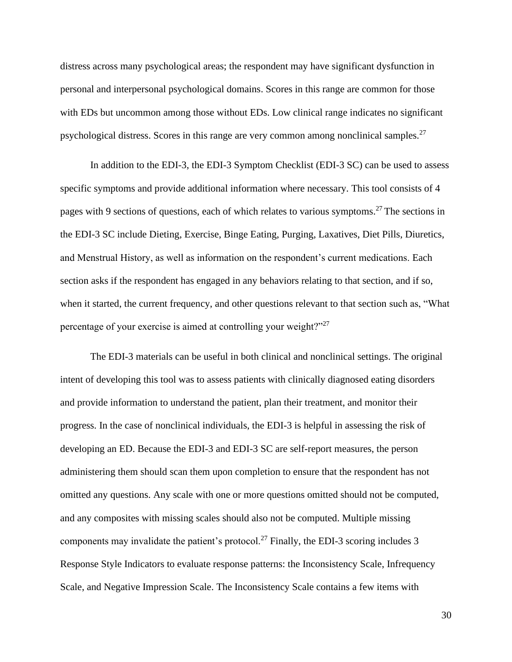distress across many psychological areas; the respondent may have significant dysfunction in personal and interpersonal psychological domains. Scores in this range are common for those with EDs but uncommon among those without EDs. Low clinical range indicates no significant psychological distress. Scores in this range are very common among nonclinical samples.<sup>27</sup>

In addition to the EDI-3, the EDI-3 Symptom Checklist (EDI-3 SC) can be used to assess specific symptoms and provide additional information where necessary. This tool consists of 4 pages with 9 sections of questions, each of which relates to various symptoms.<sup>27</sup> The sections in the EDI-3 SC include Dieting, Exercise, Binge Eating, Purging, Laxatives, Diet Pills, Diuretics, and Menstrual History, as well as information on the respondent's current medications. Each section asks if the respondent has engaged in any behaviors relating to that section, and if so, when it started, the current frequency, and other questions relevant to that section such as, "What percentage of your exercise is aimed at controlling your weight?"<sup>27</sup>

The EDI-3 materials can be useful in both clinical and nonclinical settings. The original intent of developing this tool was to assess patients with clinically diagnosed eating disorders and provide information to understand the patient, plan their treatment, and monitor their progress. In the case of nonclinical individuals, the EDI-3 is helpful in assessing the risk of developing an ED. Because the EDI-3 and EDI-3 SC are self-report measures, the person administering them should scan them upon completion to ensure that the respondent has not omitted any questions. Any scale with one or more questions omitted should not be computed, and any composites with missing scales should also not be computed. Multiple missing components may invalidate the patient's protocol.<sup>27</sup> Finally, the EDI-3 scoring includes 3 Response Style Indicators to evaluate response patterns: the Inconsistency Scale, Infrequency Scale, and Negative Impression Scale. The Inconsistency Scale contains a few items with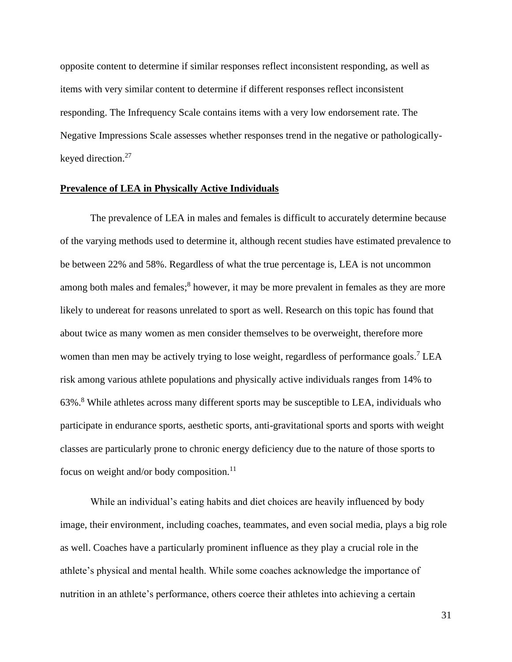opposite content to determine if similar responses reflect inconsistent responding, as well as items with very similar content to determine if different responses reflect inconsistent responding. The Infrequency Scale contains items with a very low endorsement rate. The Negative Impressions Scale assesses whether responses trend in the negative or pathologicallykeyed direction.<sup>27</sup>

#### **Prevalence of LEA in Physically Active Individuals**

The prevalence of LEA in males and females is difficult to accurately determine because of the varying methods used to determine it, although recent studies have estimated prevalence to be between 22% and 58%. Regardless of what the true percentage is, LEA is not uncommon among both males and females;<sup>8</sup> however, it may be more prevalent in females as they are more likely to undereat for reasons unrelated to sport as well. Research on this topic has found that about twice as many women as men consider themselves to be overweight, therefore more women than men may be actively trying to lose weight, regardless of performance goals.<sup>7</sup> LEA risk among various athlete populations and physically active individuals ranges from 14% to 63%.<sup>8</sup> While athletes across many different sports may be susceptible to LEA, individuals who participate in endurance sports, aesthetic sports, anti-gravitational sports and sports with weight classes are particularly prone to chronic energy deficiency due to the nature of those sports to focus on weight and/or body composition. $^{11}$ 

While an individual's eating habits and diet choices are heavily influenced by body image, their environment, including coaches, teammates, and even social media, plays a big role as well. Coaches have a particularly prominent influence as they play a crucial role in the athlete's physical and mental health. While some coaches acknowledge the importance of nutrition in an athlete's performance, others coerce their athletes into achieving a certain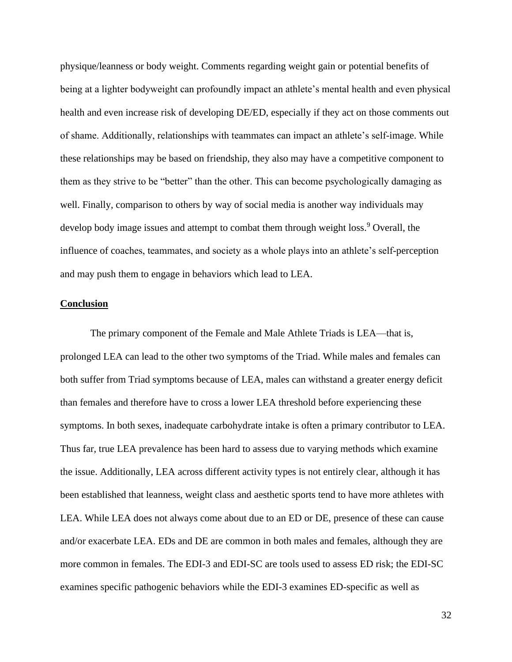physique/leanness or body weight. Comments regarding weight gain or potential benefits of being at a lighter bodyweight can profoundly impact an athlete's mental health and even physical health and even increase risk of developing DE/ED, especially if they act on those comments out of shame. Additionally, relationships with teammates can impact an athlete's self-image. While these relationships may be based on friendship, they also may have a competitive component to them as they strive to be "better" than the other. This can become psychologically damaging as well. Finally, comparison to others by way of social media is another way individuals may develop body image issues and attempt to combat them through weight loss.<sup>9</sup> Overall, the influence of coaches, teammates, and society as a whole plays into an athlete's self-perception and may push them to engage in behaviors which lead to LEA.

#### **Conclusion**

The primary component of the Female and Male Athlete Triads is LEA—that is, prolonged LEA can lead to the other two symptoms of the Triad. While males and females can both suffer from Triad symptoms because of LEA, males can withstand a greater energy deficit than females and therefore have to cross a lower LEA threshold before experiencing these symptoms. In both sexes, inadequate carbohydrate intake is often a primary contributor to LEA. Thus far, true LEA prevalence has been hard to assess due to varying methods which examine the issue. Additionally, LEA across different activity types is not entirely clear, although it has been established that leanness, weight class and aesthetic sports tend to have more athletes with LEA. While LEA does not always come about due to an ED or DE, presence of these can cause and/or exacerbate LEA. EDs and DE are common in both males and females, although they are more common in females. The EDI-3 and EDI-SC are tools used to assess ED risk; the EDI-SC examines specific pathogenic behaviors while the EDI-3 examines ED-specific as well as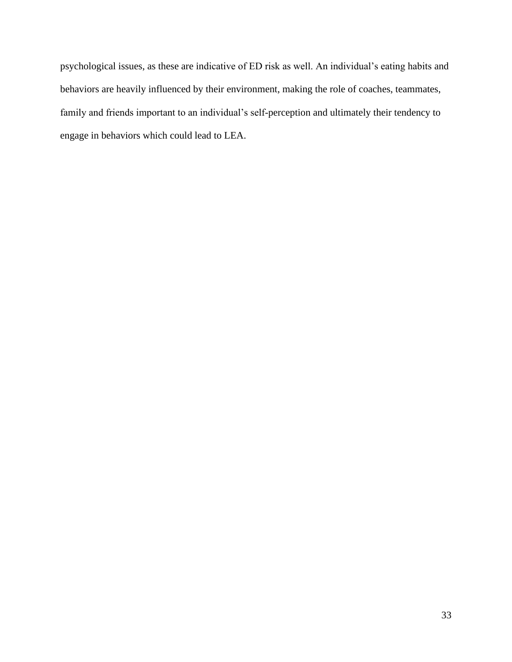psychological issues, as these are indicative of ED risk as well. An individual's eating habits and behaviors are heavily influenced by their environment, making the role of coaches, teammates, family and friends important to an individual's self-perception and ultimately their tendency to engage in behaviors which could lead to LEA.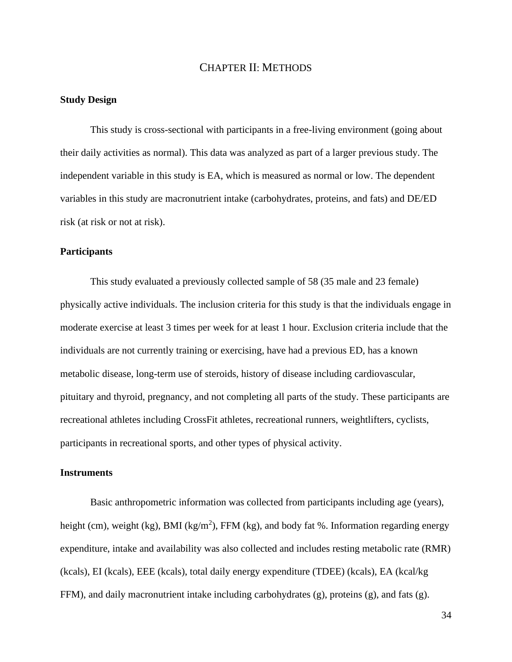#### CHAPTER II: METHODS

#### **Study Design**

This study is cross-sectional with participants in a free-living environment (going about their daily activities as normal). This data was analyzed as part of a larger previous study. The independent variable in this study is EA, which is measured as normal or low. The dependent variables in this study are macronutrient intake (carbohydrates, proteins, and fats) and DE/ED risk (at risk or not at risk).

#### **Participants**

This study evaluated a previously collected sample of 58 (35 male and 23 female) physically active individuals. The inclusion criteria for this study is that the individuals engage in moderate exercise at least 3 times per week for at least 1 hour. Exclusion criteria include that the individuals are not currently training or exercising, have had a previous ED, has a known metabolic disease, long-term use of steroids, history of disease including cardiovascular, pituitary and thyroid, pregnancy, and not completing all parts of the study. These participants are recreational athletes including CrossFit athletes, recreational runners, weightlifters, cyclists, participants in recreational sports, and other types of physical activity.

#### **Instruments**

Basic anthropometric information was collected from participants including age (years), height (cm), weight (kg), BMI (kg/m<sup>2</sup>), FFM (kg), and body fat %. Information regarding energy expenditure, intake and availability was also collected and includes resting metabolic rate (RMR) (kcals), EI (kcals), EEE (kcals), total daily energy expenditure (TDEE) (kcals), EA (kcal/kg FFM), and daily macronutrient intake including carbohydrates  $(g)$ , proteins  $(g)$ , and fats  $(g)$ .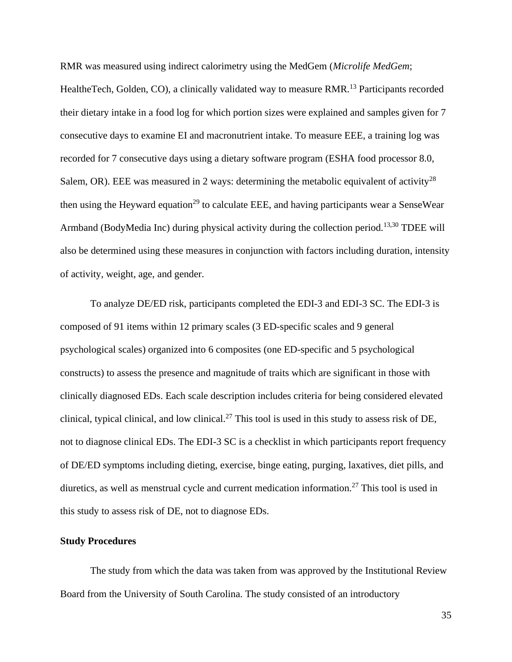RMR was measured using indirect calorimetry using the MedGem (*Microlife MedGem*; HealtheTech, Golden, CO), a clinically validated way to measure RMR.<sup>13</sup> Participants recorded their dietary intake in a food log for which portion sizes were explained and samples given for 7 consecutive days to examine EI and macronutrient intake. To measure EEE, a training log was recorded for 7 consecutive days using a dietary software program (ESHA food processor 8.0, Salem, OR). EEE was measured in 2 ways: determining the metabolic equivalent of activity<sup>28</sup> then using the Heyward equation<sup>29</sup> to calculate EEE, and having participants wear a SenseWear Armband (BodyMedia Inc) during physical activity during the collection period.<sup>13,30</sup> TDEE will also be determined using these measures in conjunction with factors including duration, intensity of activity, weight, age, and gender.

To analyze DE/ED risk, participants completed the EDI-3 and EDI-3 SC. The EDI-3 is composed of 91 items within 12 primary scales (3 ED-specific scales and 9 general psychological scales) organized into 6 composites (one ED-specific and 5 psychological constructs) to assess the presence and magnitude of traits which are significant in those with clinically diagnosed EDs. Each scale description includes criteria for being considered elevated clinical, typical clinical, and low clinical.<sup>27</sup> This tool is used in this study to assess risk of DE, not to diagnose clinical EDs. The EDI-3 SC is a checklist in which participants report frequency of DE/ED symptoms including dieting, exercise, binge eating, purging, laxatives, diet pills, and diuretics, as well as menstrual cycle and current medication information.<sup>27</sup> This tool is used in this study to assess risk of DE, not to diagnose EDs.

#### **Study Procedures**

The study from which the data was taken from was approved by the Institutional Review Board from the University of South Carolina. The study consisted of an introductory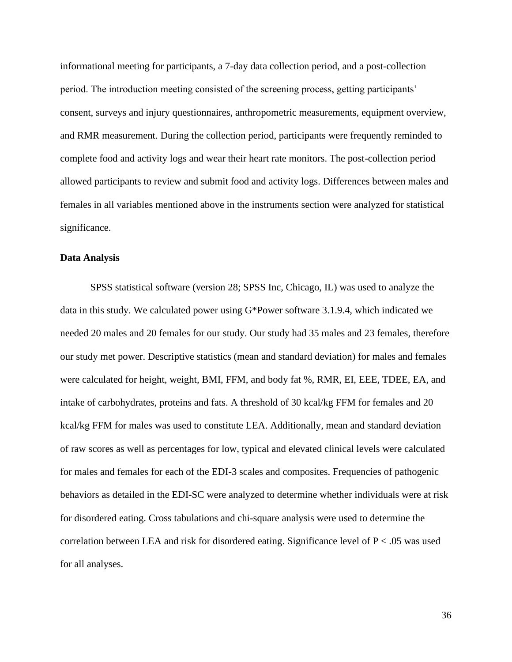informational meeting for participants, a 7-day data collection period, and a post-collection period. The introduction meeting consisted of the screening process, getting participants' consent, surveys and injury questionnaires, anthropometric measurements, equipment overview, and RMR measurement. During the collection period, participants were frequently reminded to complete food and activity logs and wear their heart rate monitors. The post-collection period allowed participants to review and submit food and activity logs. Differences between males and females in all variables mentioned above in the instruments section were analyzed for statistical significance.

#### **Data Analysis**

SPSS statistical software (version 28; SPSS Inc, Chicago, IL) was used to analyze the data in this study. We calculated power using G\*Power software 3.1.9.4, which indicated we needed 20 males and 20 females for our study. Our study had 35 males and 23 females, therefore our study met power. Descriptive statistics (mean and standard deviation) for males and females were calculated for height, weight, BMI, FFM, and body fat %, RMR, EI, EEE, TDEE, EA, and intake of carbohydrates, proteins and fats. A threshold of 30 kcal/kg FFM for females and 20 kcal/kg FFM for males was used to constitute LEA. Additionally, mean and standard deviation of raw scores as well as percentages for low, typical and elevated clinical levels were calculated for males and females for each of the EDI-3 scales and composites. Frequencies of pathogenic behaviors as detailed in the EDI-SC were analyzed to determine whether individuals were at risk for disordered eating. Cross tabulations and chi-square analysis were used to determine the correlation between LEA and risk for disordered eating. Significance level of  $P < 0.05$  was used for all analyses.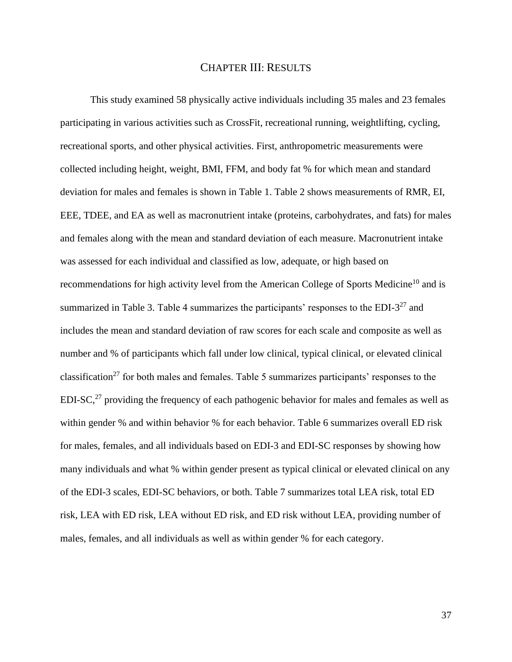#### CHAPTER III: RESULTS

This study examined 58 physically active individuals including 35 males and 23 females participating in various activities such as CrossFit, recreational running, weightlifting, cycling, recreational sports, and other physical activities. First, anthropometric measurements were collected including height, weight, BMI, FFM, and body fat % for which mean and standard deviation for males and females is shown in Table 1. Table 2 shows measurements of RMR, EI, EEE, TDEE, and EA as well as macronutrient intake (proteins, carbohydrates, and fats) for males and females along with the mean and standard deviation of each measure. Macronutrient intake was assessed for each individual and classified as low, adequate, or high based on recommendations for high activity level from the American College of Sports Medicine<sup>10</sup> and is summarized in Table 3. Table 4 summarizes the participants' responses to the EDI- $3^{27}$  and includes the mean and standard deviation of raw scores for each scale and composite as well as number and % of participants which fall under low clinical, typical clinical, or elevated clinical classification<sup>27</sup> for both males and females. Table 5 summarizes participants' responses to the  $EDI-SC<sub>1</sub><sup>27</sup>$  providing the frequency of each pathogenic behavior for males and females as well as within gender % and within behavior % for each behavior. Table 6 summarizes overall ED risk for males, females, and all individuals based on EDI-3 and EDI-SC responses by showing how many individuals and what % within gender present as typical clinical or elevated clinical on any of the EDI-3 scales, EDI-SC behaviors, or both. Table 7 summarizes total LEA risk, total ED risk, LEA with ED risk, LEA without ED risk, and ED risk without LEA, providing number of males, females, and all individuals as well as within gender % for each category.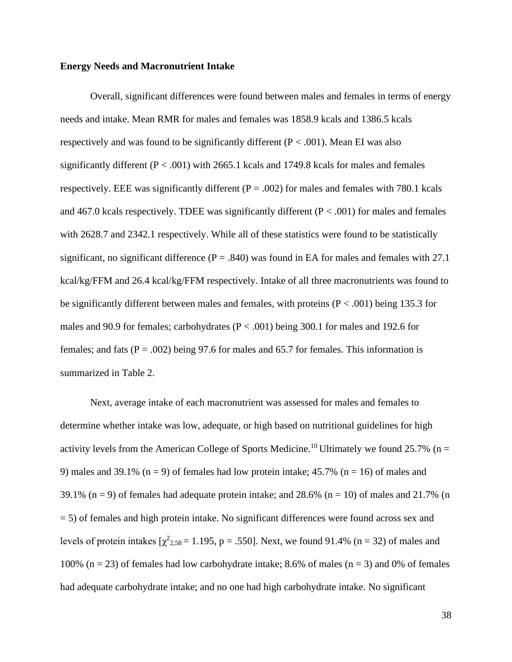#### **Energy Needs and Macronutrient Intake**

Overall, significant differences were found between males and females in terms of energy needs and intake. Mean RMR for males and females was 1858.9 kcals and 1386.5 kcals respectively and was found to be significantly different ( $P < .001$ ). Mean EI was also significantly different ( $P < .001$ ) with 2665.1 kcals and 1749.8 kcals for males and females respectively. EEE was significantly different ( $P = .002$ ) for males and females with 780.1 kcals and 467.0 kcals respectively. TDEE was significantly different ( $P < .001$ ) for males and females with 2628.7 and 2342.1 respectively. While all of these statistics were found to be statistically significant, no significant difference ( $P = .840$ ) was found in EA for males and females with 27.1 kcal/kg/FFM and 26.4 kcal/kg/FFM respectively. Intake of all three macronutrients was found to be significantly different between males and females, with proteins  $(P < .001)$  being 135.3 for males and 90.9 for females; carbohydrates ( $P < .001$ ) being 300.1 for males and 192.6 for females; and fats ( $P = .002$ ) being 97.6 for males and 65.7 for females. This information is summarized in Table 2.

Next, average intake of each macronutrient was assessed for males and females to determine whether intake was low, adequate, or high based on nutritional guidelines for high activity levels from the American College of Sports Medicine.<sup>10</sup> Ultimately we found 25.7% (n = 9) males and 39.1% (n = 9) of females had low protein intake; 45.7% (n = 16) of males and 39.1% (n = 9) of females had adequate protein intake; and  $28.6\%$  (n = 10) of males and  $21.7\%$  (n = 5) of females and high protein intake. No significant differences were found across sex and levels of protein intakes  $[\chi^2_{2,58} = 1.195, p = .550]$ . Next, we found 91.4% (n = 32) of males and 100% (n = 23) of females had low carbohydrate intake; 8.6% of males (n = 3) and 0% of females had adequate carbohydrate intake; and no one had high carbohydrate intake. No significant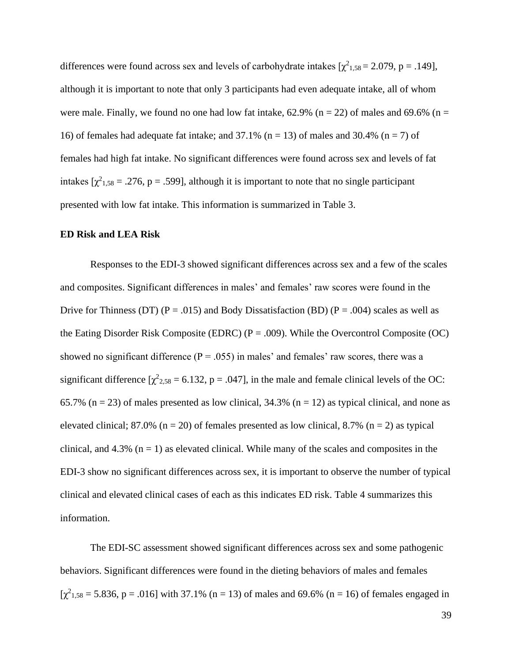differences were found across sex and levels of carbohydrate intakes  $[\chi^2_{1,58} = 2.079, p = .149]$ , although it is important to note that only 3 participants had even adequate intake, all of whom were male. Finally, we found no one had low fat intake,  $62.9\%$  (n = 22) of males and  $69.6\%$  (n = 16) of females had adequate fat intake; and 37.1% ( $n = 13$ ) of males and 30.4% ( $n = 7$ ) of females had high fat intake. No significant differences were found across sex and levels of fat intakes  $[\chi^2_{1,58} = .276, p = .599]$ , although it is important to note that no single participant presented with low fat intake. This information is summarized in Table 3.

#### **ED Risk and LEA Risk**

Responses to the EDI-3 showed significant differences across sex and a few of the scales and composites. Significant differences in males' and females' raw scores were found in the Drive for Thinness (DT) ( $P = .015$ ) and Body Dissatisfaction (BD) ( $P = .004$ ) scales as well as the Eating Disorder Risk Composite (EDRC) ( $P = .009$ ). While the Overcontrol Composite (OC) showed no significant difference ( $P = .055$ ) in males' and females' raw scores, there was a significant difference  $[\chi^2_{2,58} = 6.132, p = .047]$ , in the male and female clinical levels of the OC: 65.7% ( $n = 23$ ) of males presented as low clinical, 34.3% ( $n = 12$ ) as typical clinical, and none as elevated clinical; 87.0% ( $n = 20$ ) of females presented as low clinical, 8.7% ( $n = 2$ ) as typical clinical, and 4.3% ( $n = 1$ ) as elevated clinical. While many of the scales and composites in the EDI-3 show no significant differences across sex, it is important to observe the number of typical clinical and elevated clinical cases of each as this indicates ED risk. Table 4 summarizes this information.

The EDI-SC assessment showed significant differences across sex and some pathogenic behaviors. Significant differences were found in the dieting behaviors of males and females  $[\chi^2_{1,58} = 5.836, p = .016]$  with 37.1% (n = 13) of males and 69.6% (n = 16) of females engaged in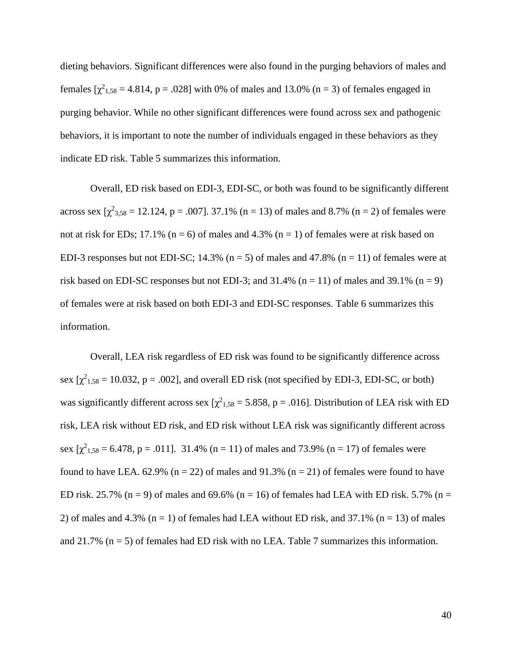dieting behaviors. Significant differences were also found in the purging behaviors of males and females  $[\chi^2_{1,58} = 4.814, p = .028]$  with 0% of males and 13.0% (n = 3) of females engaged in purging behavior. While no other significant differences were found across sex and pathogenic behaviors, it is important to note the number of individuals engaged in these behaviors as they indicate ED risk. Table 5 summarizes this information.

Overall, ED risk based on EDI-3, EDI-SC, or both was found to be significantly different across sex  $[\chi^2_{3,58} = 12.124, p = .007]$ . 37.1% (n = 13) of males and 8.7% (n = 2) of females were not at risk for EDs; 17.1% ( $n = 6$ ) of males and 4.3% ( $n = 1$ ) of females were at risk based on EDI-3 responses but not EDI-SC; 14.3% ( $n = 5$ ) of males and 47.8% ( $n = 11$ ) of females were at risk based on EDI-SC responses but not EDI-3; and  $31.4\%$  (n = 11) of males and  $39.1\%$  (n = 9) of females were at risk based on both EDI-3 and EDI-SC responses. Table 6 summarizes this information.

Overall, LEA risk regardless of ED risk was found to be significantly difference across sex  $[\chi^2_{1,58} = 10.032, p = .002]$ , and overall ED risk (not specified by EDI-3, EDI-SC, or both) was significantly different across sex  $[\chi^2_{1,58} = 5.858, p = .016]$ . Distribution of LEA risk with ED risk, LEA risk without ED risk, and ED risk without LEA risk was significantly different across sex  $[\chi^2_{1,58} = 6.478, p = .011]$ . 31.4% (n = 11) of males and 73.9% (n = 17) of females were found to have LEA. 62.9% ( $n = 22$ ) of males and 91.3% ( $n = 21$ ) of females were found to have ED risk. 25.7% (n = 9) of males and 69.6% (n = 16) of females had LEA with ED risk. 5.7% (n = 2) of males and 4.3% ( $n = 1$ ) of females had LEA without ED risk, and 37.1% ( $n = 13$ ) of males and 21.7% ( $n = 5$ ) of females had ED risk with no LEA. Table 7 summarizes this information.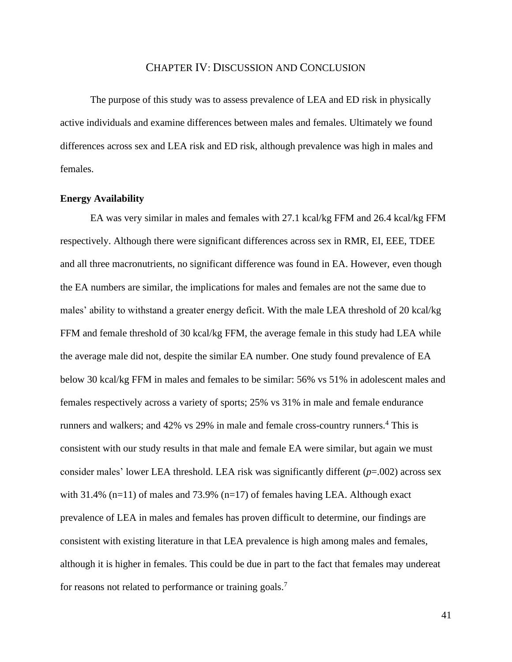#### CHAPTER IV: DISCUSSION AND CONCLUSION

The purpose of this study was to assess prevalence of LEA and ED risk in physically active individuals and examine differences between males and females. Ultimately we found differences across sex and LEA risk and ED risk, although prevalence was high in males and females.

#### **Energy Availability**

EA was very similar in males and females with 27.1 kcal/kg FFM and 26.4 kcal/kg FFM respectively. Although there were significant differences across sex in RMR, EI, EEE, TDEE and all three macronutrients, no significant difference was found in EA. However, even though the EA numbers are similar, the implications for males and females are not the same due to males' ability to withstand a greater energy deficit. With the male LEA threshold of 20 kcal/kg FFM and female threshold of 30 kcal/kg FFM, the average female in this study had LEA while the average male did not, despite the similar EA number. One study found prevalence of EA below 30 kcal/kg FFM in males and females to be similar: 56% vs 51% in adolescent males and females respectively across a variety of sports; 25% vs 31% in male and female endurance runners and walkers; and 42% vs 29% in male and female cross-country runners. <sup>4</sup> This is consistent with our study results in that male and female EA were similar, but again we must consider males' lower LEA threshold. LEA risk was significantly different (*p*=.002) across sex with 31.4% (n=11) of males and 73.9% (n=17) of females having LEA. Although exact prevalence of LEA in males and females has proven difficult to determine, our findings are consistent with existing literature in that LEA prevalence is high among males and females, although it is higher in females. This could be due in part to the fact that females may undereat for reasons not related to performance or training goals.<sup>7</sup>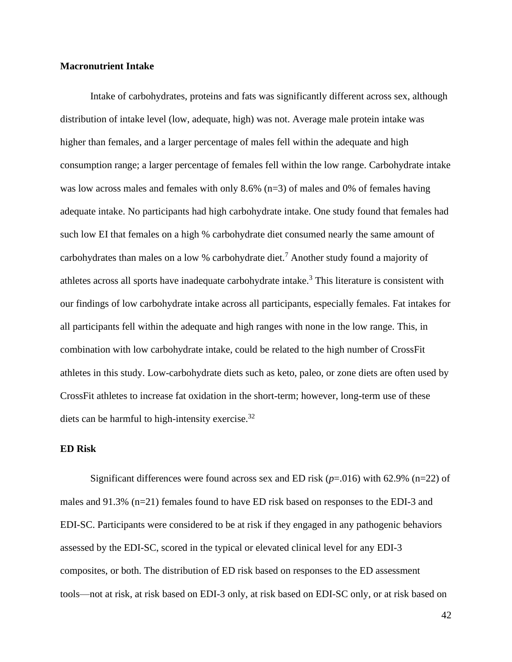#### **Macronutrient Intake**

Intake of carbohydrates, proteins and fats was significantly different across sex, although distribution of intake level (low, adequate, high) was not. Average male protein intake was higher than females, and a larger percentage of males fell within the adequate and high consumption range; a larger percentage of females fell within the low range. Carbohydrate intake was low across males and females with only 8.6% (n=3) of males and 0% of females having adequate intake. No participants had high carbohydrate intake. One study found that females had such low EI that females on a high % carbohydrate diet consumed nearly the same amount of carbohydrates than males on a low % carbohydrate diet.<sup>7</sup> Another study found a majority of athletes across all sports have inadequate carbohydrate intake.<sup>3</sup> This literature is consistent with our findings of low carbohydrate intake across all participants, especially females. Fat intakes for all participants fell within the adequate and high ranges with none in the low range. This, in combination with low carbohydrate intake, could be related to the high number of CrossFit athletes in this study. Low-carbohydrate diets such as keto, paleo, or zone diets are often used by CrossFit athletes to increase fat oxidation in the short-term; however, long-term use of these diets can be harmful to high-intensity exercise.<sup>32</sup>

#### **ED Risk**

Significant differences were found across sex and ED risk (*p*=.016) with 62.9% (n=22) of males and 91.3% (n=21) females found to have ED risk based on responses to the EDI-3 and EDI-SC. Participants were considered to be at risk if they engaged in any pathogenic behaviors assessed by the EDI-SC, scored in the typical or elevated clinical level for any EDI-3 composites, or both. The distribution of ED risk based on responses to the ED assessment tools—not at risk, at risk based on EDI-3 only, at risk based on EDI-SC only, or at risk based on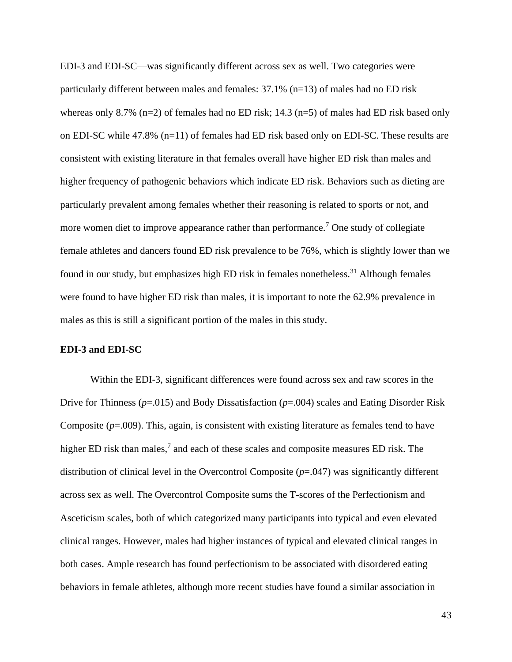EDI-3 and EDI-SC—was significantly different across sex as well. Two categories were particularly different between males and females: 37.1% (n=13) of males had no ED risk whereas only 8.7% (n=2) of females had no ED risk;  $14.3$  (n=5) of males had ED risk based only on EDI-SC while 47.8% (n=11) of females had ED risk based only on EDI-SC. These results are consistent with existing literature in that females overall have higher ED risk than males and higher frequency of pathogenic behaviors which indicate ED risk. Behaviors such as dieting are particularly prevalent among females whether their reasoning is related to sports or not, and more women diet to improve appearance rather than performance.<sup>7</sup> One study of collegiate female athletes and dancers found ED risk prevalence to be 76%, which is slightly lower than we found in our study, but emphasizes high ED risk in females nonetheless.<sup>31</sup> Although females were found to have higher ED risk than males, it is important to note the 62.9% prevalence in males as this is still a significant portion of the males in this study.

#### **EDI-3 and EDI-SC**

Within the EDI-3, significant differences were found across sex and raw scores in the Drive for Thinness (*p*=.015) and Body Dissatisfaction (*p*=.004) scales and Eating Disorder Risk Composite (*p*=.009). This, again, is consistent with existing literature as females tend to have higher ED risk than males,<sup>7</sup> and each of these scales and composite measures ED risk. The distribution of clinical level in the Overcontrol Composite (*p*=.047) was significantly different across sex as well. The Overcontrol Composite sums the T-scores of the Perfectionism and Asceticism scales, both of which categorized many participants into typical and even elevated clinical ranges. However, males had higher instances of typical and elevated clinical ranges in both cases. Ample research has found perfectionism to be associated with disordered eating behaviors in female athletes, although more recent studies have found a similar association in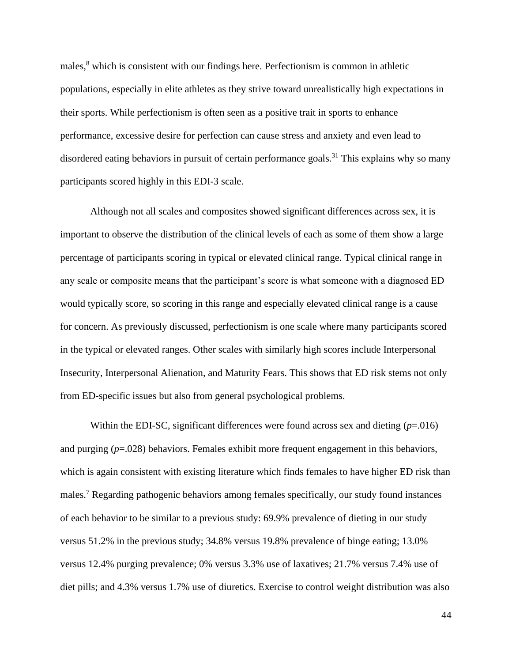males,<sup>8</sup> which is consistent with our findings here. Perfectionism is common in athletic populations, especially in elite athletes as they strive toward unrealistically high expectations in their sports. While perfectionism is often seen as a positive trait in sports to enhance performance, excessive desire for perfection can cause stress and anxiety and even lead to disordered eating behaviors in pursuit of certain performance goals.<sup>31</sup> This explains why so many participants scored highly in this EDI-3 scale.

Although not all scales and composites showed significant differences across sex, it is important to observe the distribution of the clinical levels of each as some of them show a large percentage of participants scoring in typical or elevated clinical range. Typical clinical range in any scale or composite means that the participant's score is what someone with a diagnosed ED would typically score, so scoring in this range and especially elevated clinical range is a cause for concern. As previously discussed, perfectionism is one scale where many participants scored in the typical or elevated ranges. Other scales with similarly high scores include Interpersonal Insecurity, Interpersonal Alienation, and Maturity Fears. This shows that ED risk stems not only from ED-specific issues but also from general psychological problems.

Within the EDI-SC, significant differences were found across sex and dieting  $(p=0.016)$ and purging (*p*=.028) behaviors. Females exhibit more frequent engagement in this behaviors, which is again consistent with existing literature which finds females to have higher ED risk than males.<sup>7</sup> Regarding pathogenic behaviors among females specifically, our study found instances of each behavior to be similar to a previous study: 69.9% prevalence of dieting in our study versus 51.2% in the previous study; 34.8% versus 19.8% prevalence of binge eating; 13.0% versus 12.4% purging prevalence; 0% versus 3.3% use of laxatives; 21.7% versus 7.4% use of diet pills; and 4.3% versus 1.7% use of diuretics. Exercise to control weight distribution was also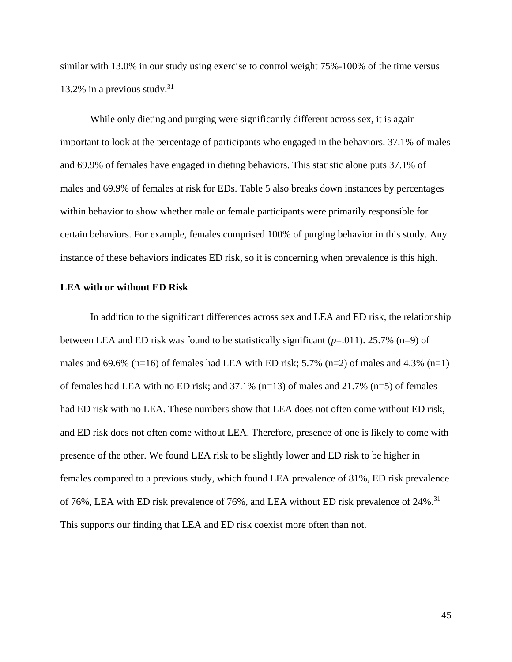similar with 13.0% in our study using exercise to control weight 75%-100% of the time versus 13.2% in a previous study.<sup>31</sup>

While only dieting and purging were significantly different across sex, it is again important to look at the percentage of participants who engaged in the behaviors. 37.1% of males and 69.9% of females have engaged in dieting behaviors. This statistic alone puts 37.1% of males and 69.9% of females at risk for EDs. Table 5 also breaks down instances by percentages within behavior to show whether male or female participants were primarily responsible for certain behaviors. For example, females comprised 100% of purging behavior in this study. Any instance of these behaviors indicates ED risk, so it is concerning when prevalence is this high.

#### **LEA with or without ED Risk**

In addition to the significant differences across sex and LEA and ED risk, the relationship between LEA and ED risk was found to be statistically significant  $(p=0.011)$ . 25.7% (n=9) of males and 69.6% (n=16) of females had LEA with ED risk;  $5.7\%$  (n=2) of males and  $4.3\%$  (n=1) of females had LEA with no ED risk; and 37.1% (n=13) of males and 21.7% (n=5) of females had ED risk with no LEA. These numbers show that LEA does not often come without ED risk, and ED risk does not often come without LEA. Therefore, presence of one is likely to come with presence of the other. We found LEA risk to be slightly lower and ED risk to be higher in females compared to a previous study, which found LEA prevalence of 81%, ED risk prevalence of 76%, LEA with ED risk prevalence of 76%, and LEA without ED risk prevalence of 24%.<sup>31</sup> This supports our finding that LEA and ED risk coexist more often than not.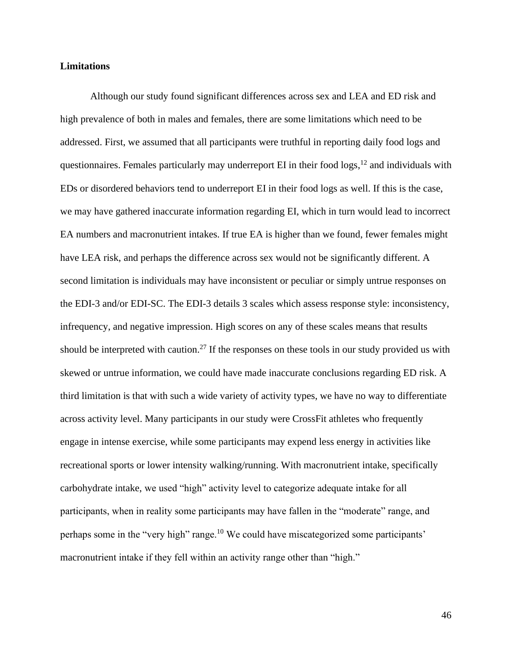#### **Limitations**

Although our study found significant differences across sex and LEA and ED risk and high prevalence of both in males and females, there are some limitations which need to be addressed. First, we assumed that all participants were truthful in reporting daily food logs and questionnaires. Females particularly may underreport EI in their food logs,<sup>12</sup> and individuals with EDs or disordered behaviors tend to underreport EI in their food logs as well. If this is the case, we may have gathered inaccurate information regarding EI, which in turn would lead to incorrect EA numbers and macronutrient intakes. If true EA is higher than we found, fewer females might have LEA risk, and perhaps the difference across sex would not be significantly different. A second limitation is individuals may have inconsistent or peculiar or simply untrue responses on the EDI-3 and/or EDI-SC. The EDI-3 details 3 scales which assess response style: inconsistency, infrequency, and negative impression. High scores on any of these scales means that results should be interpreted with caution.<sup>27</sup> If the responses on these tools in our study provided us with skewed or untrue information, we could have made inaccurate conclusions regarding ED risk. A third limitation is that with such a wide variety of activity types, we have no way to differentiate across activity level. Many participants in our study were CrossFit athletes who frequently engage in intense exercise, while some participants may expend less energy in activities like recreational sports or lower intensity walking/running. With macronutrient intake, specifically carbohydrate intake, we used "high" activity level to categorize adequate intake for all participants, when in reality some participants may have fallen in the "moderate" range, and perhaps some in the "very high" range.<sup>10</sup> We could have miscategorized some participants' macronutrient intake if they fell within an activity range other than "high."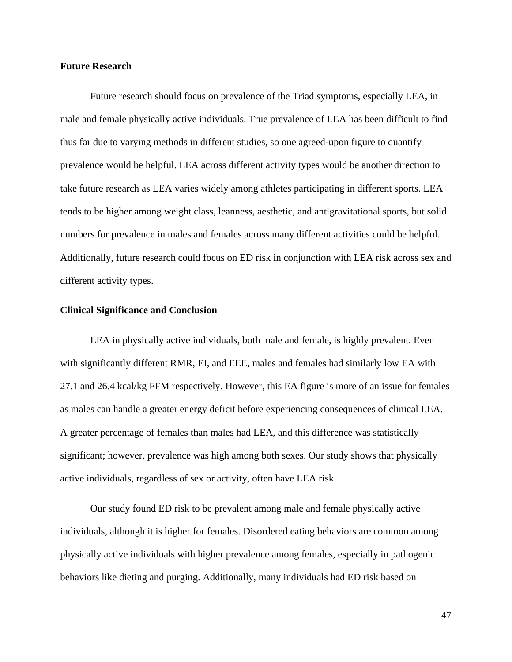#### **Future Research**

Future research should focus on prevalence of the Triad symptoms, especially LEA, in male and female physically active individuals. True prevalence of LEA has been difficult to find thus far due to varying methods in different studies, so one agreed-upon figure to quantify prevalence would be helpful. LEA across different activity types would be another direction to take future research as LEA varies widely among athletes participating in different sports. LEA tends to be higher among weight class, leanness, aesthetic, and antigravitational sports, but solid numbers for prevalence in males and females across many different activities could be helpful. Additionally, future research could focus on ED risk in conjunction with LEA risk across sex and different activity types.

#### **Clinical Significance and Conclusion**

LEA in physically active individuals, both male and female, is highly prevalent. Even with significantly different RMR, EI, and EEE, males and females had similarly low EA with 27.1 and 26.4 kcal/kg FFM respectively. However, this EA figure is more of an issue for females as males can handle a greater energy deficit before experiencing consequences of clinical LEA. A greater percentage of females than males had LEA, and this difference was statistically significant; however, prevalence was high among both sexes. Our study shows that physically active individuals, regardless of sex or activity, often have LEA risk.

Our study found ED risk to be prevalent among male and female physically active individuals, although it is higher for females. Disordered eating behaviors are common among physically active individuals with higher prevalence among females, especially in pathogenic behaviors like dieting and purging. Additionally, many individuals had ED risk based on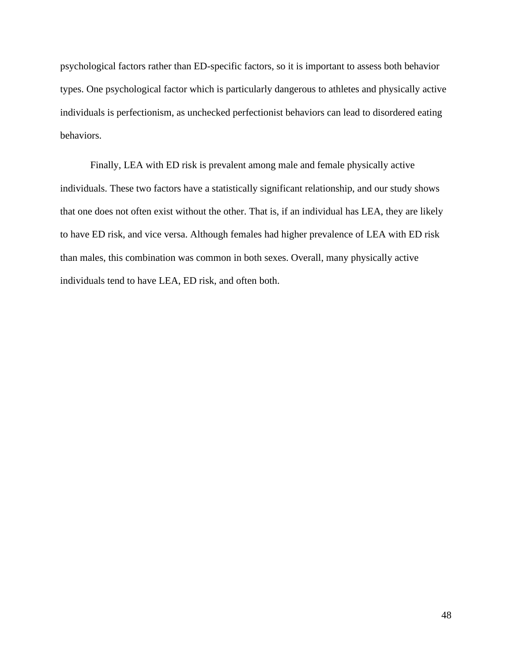psychological factors rather than ED-specific factors, so it is important to assess both behavior types. One psychological factor which is particularly dangerous to athletes and physically active individuals is perfectionism, as unchecked perfectionist behaviors can lead to disordered eating behaviors.

Finally, LEA with ED risk is prevalent among male and female physically active individuals. These two factors have a statistically significant relationship, and our study shows that one does not often exist without the other. That is, if an individual has LEA, they are likely to have ED risk, and vice versa. Although females had higher prevalence of LEA with ED risk than males, this combination was common in both sexes. Overall, many physically active individuals tend to have LEA, ED risk, and often both.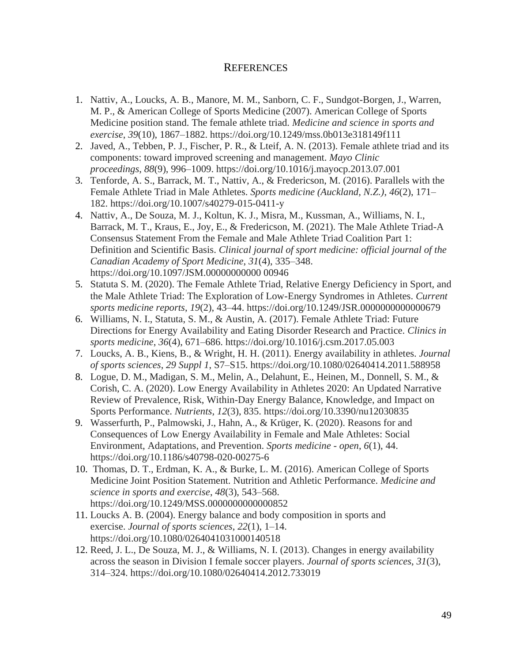### **REFERENCES**

- 1. Nattiv, A., Loucks, A. B., Manore, M. M., Sanborn, C. F., Sundgot-Borgen, J., Warren, M. P., & American College of Sports Medicine (2007). American College of Sports Medicine position stand. The female athlete triad. *Medicine and science in sports and exercise*, *39*(10), 1867–1882. https://doi.org/10.1249/mss.0b013e318149f111
- 2. Javed, A., Tebben, P. J., Fischer, P. R., & Lteif, A. N. (2013). Female athlete triad and its components: toward improved screening and management. *Mayo Clinic proceedings*, *88*(9), 996–1009. https://doi.org/10.1016/j.mayocp.2013.07.001
- 3. Tenforde, A. S., Barrack, M. T., Nattiv, A., & Fredericson, M. (2016). Parallels with the Female Athlete Triad in Male Athletes. *Sports medicine (Auckland, N.Z.)*, *46*(2), 171– 182. https://doi.org/10.1007/s40279-015-0411-y
- 4. Nattiv, A., De Souza, M. J., Koltun, K. J., Misra, M., Kussman, A., Williams, N. I., Barrack, M. T., Kraus, E., Joy, E., & Fredericson, M. (2021). The Male Athlete Triad-A Consensus Statement From the Female and Male Athlete Triad Coalition Part 1: Definition and Scientific Basis. *Clinical journal of sport medicine: official journal of the Canadian Academy of Sport Medicine*, *31*(4), 335–348. https://doi.org/10.1097/JSM.00000000000 00946
- 5. Statuta S. M. (2020). The Female Athlete Triad, Relative Energy Deficiency in Sport, and the Male Athlete Triad: The Exploration of Low-Energy Syndromes in Athletes. *Current sports medicine reports*, *19*(2), 43–44. https://doi.org/10.1249/JSR.0000000000000679
- 6. Williams, N. I., Statuta, S. M., & Austin, A. (2017). Female Athlete Triad: Future Directions for Energy Availability and Eating Disorder Research and Practice. *Clinics in sports medicine*, *36*(4), 671–686. https://doi.org/10.1016/j.csm.2017.05.003
- 7. Loucks, A. B., Kiens, B., & Wright, H. H. (2011). Energy availability in athletes. *Journal of sports sciences*, *29 Suppl 1*, S7–S15. https://doi.org/10.1080/02640414.2011.588958
- 8. Logue, D. M., Madigan, S. M., Melin, A., Delahunt, E., Heinen, M., Donnell, S. M., & Corish, C. A. (2020). Low Energy Availability in Athletes 2020: An Updated Narrative Review of Prevalence, Risk, Within-Day Energy Balance, Knowledge, and Impact on Sports Performance. *Nutrients*, *12*(3), 835. https://doi.org/10.3390/nu12030835
- 9. Wasserfurth, P., Palmowski, J., Hahn, A., & Krüger, K. (2020). Reasons for and Consequences of Low Energy Availability in Female and Male Athletes: Social Environment, Adaptations, and Prevention. *Sports medicine - open*, *6*(1), 44. https://doi.org/10.1186/s40798-020-00275-6
- 10. Thomas, D. T., Erdman, K. A., & Burke, L. M. (2016). American College of Sports Medicine Joint Position Statement. Nutrition and Athletic Performance. *Medicine and science in sports and exercise*, *48*(3), 543–568. https://doi.org/10.1249/MSS.0000000000000852
- 11. Loucks A. B. (2004). Energy balance and body composition in sports and exercise. *Journal of sports sciences*, *22*(1), 1–14. https://doi.org/10.1080/0264041031000140518
- 12. Reed, J. L., De Souza, M. J., & Williams, N. I. (2013). Changes in energy availability across the season in Division I female soccer players. *Journal of sports sciences*, *31*(3), 314–324. https://doi.org/10.1080/02640414.2012.733019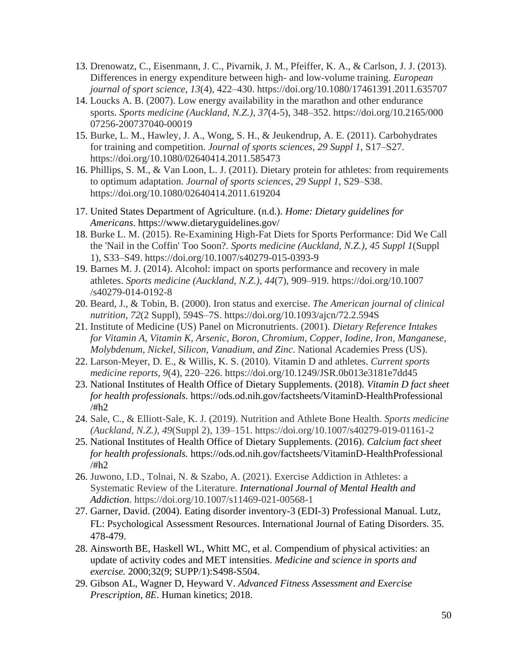- 13. Drenowatz, C., Eisenmann, J. C., Pivarnik, J. M., Pfeiffer, K. A., & Carlson, J. J. (2013). Differences in energy expenditure between high- and low-volume training. *European journal of sport science*, *13*(4), 422–430. https://doi.org/10.1080/17461391.2011.635707
- 14. Loucks A. B. (2007). Low energy availability in the marathon and other endurance sports. *Sports medicine (Auckland, N.Z.)*, *37*(4-5), 348–352. https://doi.org/10.2165/000 07256-200737040-00019
- 15. Burke, L. M., Hawley, J. A., Wong, S. H., & Jeukendrup, A. E. (2011). Carbohydrates for training and competition. *Journal of sports sciences*, *29 Suppl 1*, S17–S27. https://doi.org/10.1080/02640414.2011.585473
- 16. Phillips, S. M., & Van Loon, L. J. (2011). Dietary protein for athletes: from requirements to optimum adaptation. *Journal of sports sciences*, *29 Suppl 1*, S29–S38. https://doi.org/10.1080/02640414.2011.619204
- 17. United States Department of Agriculture. (n.d.). *Home: Dietary guidelines for Americans*. https://www.dietaryguidelines.gov/
- 18. Burke L. M. (2015). Re-Examining High-Fat Diets for Sports Performance: Did We Call the 'Nail in the Coffin' Too Soon?. *Sports medicine (Auckland, N.Z.)*, *45 Suppl 1*(Suppl 1), S33–S49. https://doi.org/10.1007/s40279-015-0393-9
- 19. Barnes M. J. (2014). Alcohol: impact on sports performance and recovery in male athletes. *Sports medicine (Auckland, N.Z.)*, *44*(7), 909–919. https://doi.org/10.1007 /s40279-014-0192-8
- 20. Beard, J., & Tobin, B. (2000). Iron status and exercise. *The American journal of clinical nutrition*, *72*(2 Suppl), 594S–7S. https://doi.org/10.1093/ajcn/72.2.594S
- 21. Institute of Medicine (US) Panel on Micronutrients. (2001). *Dietary Reference Intakes for Vitamin A, Vitamin K, Arsenic, Boron, Chromium, Copper, Iodine, Iron, Manganese, Molybdenum, Nickel, Silicon, Vanadium, and Zinc*. National Academies Press (US).
- 22. Larson-Meyer, D. E., & Willis, K. S. (2010). Vitamin D and athletes. *Current sports medicine reports*, *9*(4), 220–226. https://doi.org/10.1249/JSR.0b013e3181e7dd45
- 23. National Institutes of Health Office of Dietary Supplements. (2018). *Vitamin D fact sheet for health professionals.* https://ods.od.nih.gov/factsheets/VitaminD-HealthProfessional /#h2
- 24. Sale, C., & Elliott-Sale, K. J. (2019). Nutrition and Athlete Bone Health. *Sports medicine (Auckland, N.Z.)*, *49*(Suppl 2), 139–151. https://doi.org/10.1007/s40279-019-01161-2
- 25. National Institutes of Health Office of Dietary Supplements. (2016). *Calcium fact sheet for health professionals.* https://ods.od.nih.gov/factsheets/VitaminD-HealthProfessional /#h2
- 26. Juwono, I.D., Tolnai, N. & Szabo, A. (2021). Exercise Addiction in Athletes: a Systematic Review of the Literature. *International Journal of Mental Health and Addiction*. https://doi.org/10.1007/s11469-021-00568-1
- 27. Garner, David. (2004). Eating disorder inventory-3 (EDI-3) Professional Manual. Lutz, FL: Psychological Assessment Resources. International Journal of Eating Disorders. 35. 478-479.
- 28. Ainsworth BE, Haskell WL, Whitt MC, et al. Compendium of physical activities: an update of activity codes and MET intensities. *Medicine and science in sports and exercise.* 2000;32(9; SUPP/1):S498-S504.
- 29. Gibson AL, Wagner D, Heyward V. *Advanced Fitness Assessment and Exercise Prescription*, *8E*. Human kinetics; 2018.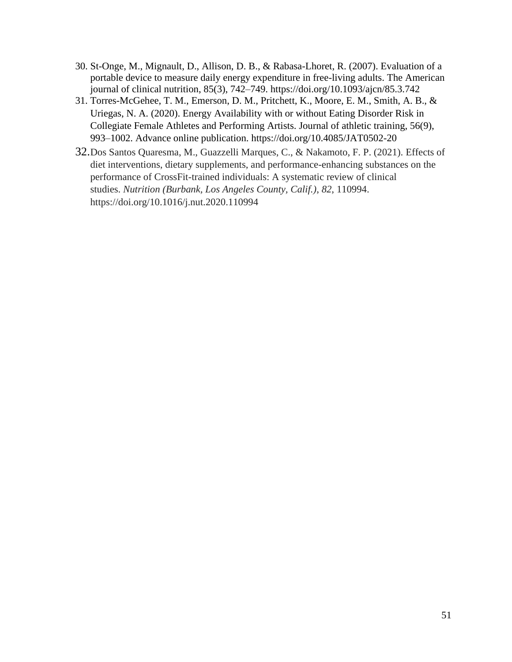- 30. St-Onge, M., Mignault, D., Allison, D. B., & Rabasa-Lhoret, R. (2007). Evaluation of a portable device to measure daily energy expenditure in free-living adults. The American journal of clinical nutrition, 85(3), 742–749. https://doi.org/10.1093/ajcn/85.3.742
- 31. Torres-McGehee, T. M., Emerson, D. M., Pritchett, K., Moore, E. M., Smith, A. B., & Uriegas, N. A. (2020). Energy Availability with or without Eating Disorder Risk in Collegiate Female Athletes and Performing Artists. Journal of athletic training, 56(9), 993–1002. Advance online publication. https://doi.org/10.4085/JAT0502-20
- 32.Dos Santos Quaresma, M., Guazzelli Marques, C., & Nakamoto, F. P. (2021). Effects of diet interventions, dietary supplements, and performance-enhancing substances on the performance of CrossFit-trained individuals: A systematic review of clinical studies. *Nutrition (Burbank, Los Angeles County, Calif.)*, *82*, 110994. https://doi.org/10.1016/j.nut.2020.110994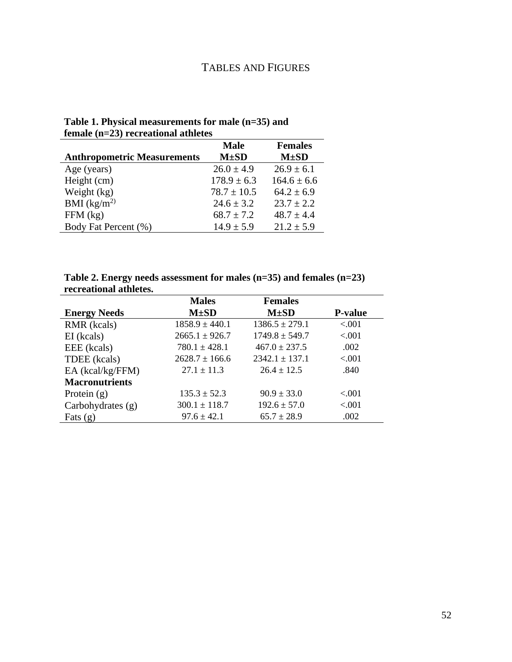## TABLES AND FIGURES

**Table 1. Physical measurements for male (n=35) and female (n=23) recreational athletes**

|                                    | <b>Male</b>     | <b>Females</b>  |
|------------------------------------|-----------------|-----------------|
| <b>Anthropometric Measurements</b> | $M\pm SD$       | $M\pm SD$       |
| Age (years)                        | $26.0 \pm 4.9$  | $26.9 \pm 6.1$  |
| Height (cm)                        | $178.9 \pm 6.3$ | $164.6 \pm 6.6$ |
| Weight (kg)                        | $78.7 \pm 10.5$ | $64.2 \pm 6.9$  |
| BMI $(kg/m^2)$                     | $24.6 \pm 3.2$  | $23.7 \pm 2.2$  |
| $FFM$ (kg)                         | $68.7 \pm 7.2$  | $48.7 \pm 4.4$  |
| Body Fat Percent (%)               | $14.9 \pm 5.9$  | $21.2 \pm 5.9$  |

**Table 2. Energy needs assessment for males (n=35) and females (n=23) recreational athletes.**

|                       | <b>Males</b>       | <b>Females</b>     |                |
|-----------------------|--------------------|--------------------|----------------|
| <b>Energy Needs</b>   | $M\pm SD$          | $M\pm SD$          | <b>P-value</b> |
| RMR (kcals)           | $1858.9 \pm 440.1$ | $1386.5 \pm 279.1$ | < .001         |
| EI (kcals)            | $2665.1 \pm 926.7$ | $1749.8 \pm 549.7$ | < 0.001        |
| EEE (kcals)           | $780.1 \pm 428.1$  | $467.0 \pm 237.5$  | .002           |
| TDEE (kcals)          | $2628.7 \pm 166.6$ | $2342.1 \pm 137.1$ | < 0.001        |
| EA (kcal/kg/FFM)      | $27.1 \pm 11.3$    | $26.4 \pm 12.5$    | .840           |
| <b>Macronutrients</b> |                    |                    |                |
| Protein $(g)$         | $135.3 \pm 52.3$   | $90.9 \pm 33.0$    | < 0.001        |
| Carbohydrates $(g)$   | $300.1 \pm 118.7$  | $192.6 \pm 57.0$   | < 0.001        |
| Fats $(g)$            | $97.6 \pm 42.1$    | $65.7 \pm 28.9$    | .002           |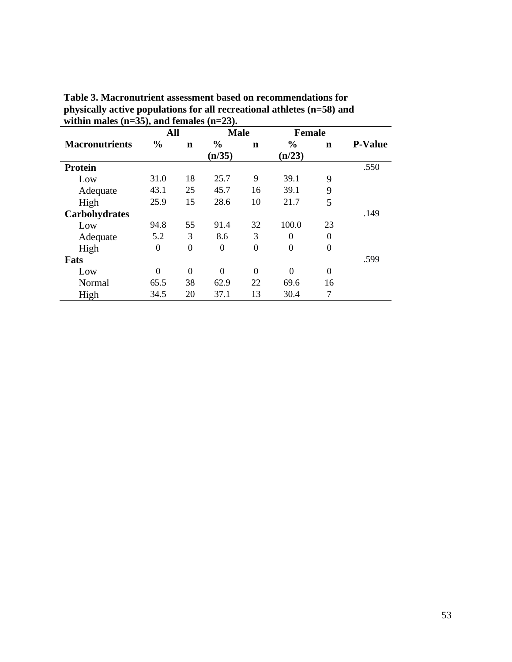| - 17                  | All            |                |                | <b>Male</b>    |                | <b>Female</b>    |                |
|-----------------------|----------------|----------------|----------------|----------------|----------------|------------------|----------------|
| <b>Macronutrients</b> | $\frac{0}{0}$  | n              | $\%$           | n              | $\frac{0}{0}$  | $\mathbf n$      | <b>P-Value</b> |
|                       |                |                | (n/35)         |                | (n/23)         |                  |                |
| <b>Protein</b>        |                |                |                |                |                |                  | .550           |
| Low                   | 31.0           | 18             | 25.7           | 9              | 39.1           | 9                |                |
| Adequate              | 43.1           | 25             | 45.7           | 16             | 39.1           | 9                |                |
| High                  | 25.9           | 15             | 28.6           | 10             | 21.7           | 5                |                |
| Carbohydrates         |                |                |                |                |                |                  | .149           |
| Low                   | 94.8           | 55             | 91.4           | 32             | 100.0          | 23               |                |
| Adequate              | 5.2            | 3              | 8.6            | 3              | $\theta$       | $\boldsymbol{0}$ |                |
| High                  | $\theta$       | $\theta$       | $\overline{0}$ | $\overline{0}$ | $\theta$       | $\overline{0}$   |                |
| Fats                  |                |                |                |                |                |                  | .599           |
| Low                   | $\overline{0}$ | $\overline{0}$ | $\overline{0}$ | $\overline{0}$ | $\overline{0}$ | $\overline{0}$   |                |
| Normal                | 65.5           | 38             | 62.9           | 22             | 69.6           | 16               |                |
| High                  | 34.5           | 20             | 37.1           | 13             | 30.4           | 7                |                |

**Table 3. Macronutrient assessment based on recommendations for physically active populations for all recreational athletes (n=58) and within males (n=35), and females (n=23).**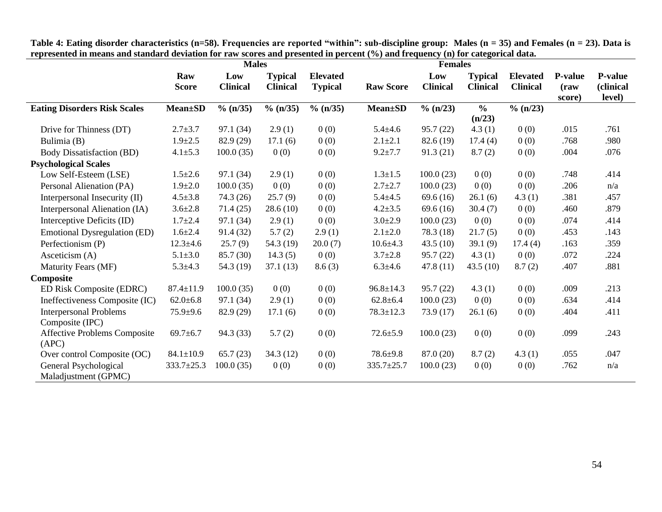|                                                  | presence in means and standard available for fam secrets and presence in percent (70) and if equency (11) for eacegoriear data.<br><b>Males</b> |                        |                                   | <b>Females</b>                    |                  |                        |                                   |                                    |                                   |                                       |
|--------------------------------------------------|-------------------------------------------------------------------------------------------------------------------------------------------------|------------------------|-----------------------------------|-----------------------------------|------------------|------------------------|-----------------------------------|------------------------------------|-----------------------------------|---------------------------------------|
|                                                  | Raw<br><b>Score</b>                                                                                                                             | Low<br><b>Clinical</b> | <b>Typical</b><br><b>Clinical</b> | <b>Elevated</b><br><b>Typical</b> | <b>Raw Score</b> | Low<br><b>Clinical</b> | <b>Typical</b><br><b>Clinical</b> | <b>Elevated</b><br><b>Clinical</b> | <b>P-value</b><br>(raw)<br>score) | <b>P-value</b><br>(clinical<br>level) |
| <b>Eating Disorders Risk Scales</b>              | <b>Mean</b> ±SD                                                                                                                                 | $\%$ (n/35)            | $\%$ (n/35)                       | $\%$ (n/35)                       | <b>Mean</b> ±SD  | $\%$ (n/23)            | $\frac{6}{10}$<br>(n/23)          | $\%$ (n/23)                        |                                   |                                       |
| Drive for Thinness (DT)                          | $2.7 + 3.7$                                                                                                                                     | 97.1 (34)              | 2.9(1)                            | 0(0)                              | $5.4 + 4.6$      | 95.7(22)               | 4.3(1)                            | 0(0)                               | .015                              | .761                                  |
| Bulimia (B)                                      | $1.9 \pm 2.5$                                                                                                                                   | 82.9 (29)              | 17.1(6)                           | 0(0)                              | $2.1 + 2.1$      | 82.6 (19)              | 17.4(4)                           | 0(0)                               | .768                              | .980                                  |
| <b>Body Dissatisfaction (BD)</b>                 | $4.1 \pm 5.3$                                                                                                                                   | 100.0(35)              | 0(0)                              | 0(0)                              | $9.2 \pm 7.7$    | 91.3(21)               | 8.7(2)                            | 0(0)                               | .004                              | .076                                  |
| <b>Psychological Scales</b>                      |                                                                                                                                                 |                        |                                   |                                   |                  |                        |                                   |                                    |                                   |                                       |
| Low Self-Esteem (LSE)                            | $1.5 \pm 2.6$                                                                                                                                   | 97.1 (34)              | 2.9(1)                            | 0(0)                              | $1.3 \pm 1.5$    | 100.0(23)              | 0(0)                              | 0(0)                               | .748                              | .414                                  |
| Personal Alienation (PA)                         | $1.9 \pm 2.0$                                                                                                                                   | 100.0(35)              | 0(0)                              | 0(0)                              | $2.7 + 2.7$      | 100.0(23)              | 0(0)                              | 0(0)                               | .206                              | n/a                                   |
| Interpersonal Insecurity (II)                    | $4.5 \pm 3.8$                                                                                                                                   | 74.3(26)               | 25.7(9)                           | 0(0)                              | $5.4 + 4.5$      | 69.6(16)               | 26.1(6)                           | 4.3(1)                             | .381                              | .457                                  |
| Interpersonal Alienation (IA)                    | $3.6 \pm 2.8$                                                                                                                                   | 71.4(25)               | 28.6(10)                          | 0(0)                              | $4.2 \pm 3.5$    | 69.6(16)               | 30.4(7)                           | 0(0)                               | .460                              | .879                                  |
| Interceptive Deficits (ID)                       | $1.7 \pm 2.4$                                                                                                                                   | 97.1 (34)              | 2.9(1)                            | 0(0)                              | $3.0 \pm 2.9$    | 100.0(23)              | 0(0)                              | 0(0)                               | .074                              | .414                                  |
| <b>Emotional Dysregulation (ED)</b>              | $1.6 \pm 2.4$                                                                                                                                   | 91.4 (32)              | 5.7(2)                            | 2.9(1)                            | $2.1 \pm 2.0$    | 78.3 (18)              | 21.7(5)                           | 0(0)                               | .453                              | .143                                  |
| Perfectionism (P)                                | $12.3 \pm 4.6$                                                                                                                                  | 25.7(9)                | 54.3 (19)                         | 20.0(7)                           | $10.6 \pm 4.3$   | 43.5(10)               | 39.1(9)                           | 17.4(4)                            | .163                              | .359                                  |
| Asceticism (A)                                   | $5.1 \pm 3.0$                                                                                                                                   | 85.7 (30)              | 14.3(5)                           | 0(0)                              | $3.7 \pm 2.8$    | 95.7(22)               | 4.3(1)                            | 0(0)                               | .072                              | .224                                  |
| <b>Maturity Fears (MF)</b>                       | $5.3 + 4.3$                                                                                                                                     | 54.3 (19)              | 37.1(13)                          | 8.6(3)                            | $6.3{\pm}4.6$    | 47.8(11)               | 43.5(10)                          | 8.7(2)                             | .407                              | .881                                  |
| Composite                                        |                                                                                                                                                 |                        |                                   |                                   |                  |                        |                                   |                                    |                                   |                                       |
| ED Risk Composite (EDRC)                         | $87.4 \pm 11.9$                                                                                                                                 | 100.0(35)              | 0(0)                              | 0(0)                              | $96.8 \pm 14.3$  | 95.7(22)               | 4.3(1)                            | 0(0)                               | .009                              | .213                                  |
| Ineffectiveness Composite (IC)                   | $62.0 \pm 6.8$                                                                                                                                  | 97.1 (34)              | 2.9(1)                            | 0(0)                              | $62.8 \pm 6.4$   | 100.0(23)              | 0(0)                              | 0(0)                               | .634                              | .414                                  |
| <b>Interpersonal Problems</b><br>Composite (IPC) | $75.9 + 9.6$                                                                                                                                    | 82.9 (29)              | 17.1(6)                           | 0(0)                              | $78.3 \pm 12.3$  | 73.9(17)               | 26.1(6)                           | 0(0)                               | .404                              | .411                                  |
| <b>Affective Problems Composite</b><br>(APC)     | $69.7 \pm 6.7$                                                                                                                                  | 94.3 (33)              | 5.7(2)                            | 0(0)                              | $72.6 \pm 5.9$   | 100.0(23)              | 0(0)                              | 0(0)                               | .099                              | .243                                  |
| Over control Composite (OC)                      | $84.1 \pm 10.9$                                                                                                                                 | 65.7(23)               | 34.3(12)                          | 0(0)                              | $78.6 + 9.8$     | 87.0 (20)              | 8.7(2)                            | 4.3(1)                             | .055                              | .047                                  |
| General Psychological<br>Maladjustment (GPMC)    | $333.7 \pm 25.3$                                                                                                                                | 100.0(35)              | 0(0)                              | 0(0)                              | $335.7 \pm 25.7$ | 100.0(23)              | 0(0)                              | 0(0)                               | .762                              | n/a                                   |

**Table 4: Eating disorder characteristics (n=58). Frequencies are reported "within": sub-discipline group: Males (n = 35) and Females (n = 23). Data is represented in means and standard deviation for raw scores and presented in percent (%) and frequency (n) for categorical data.**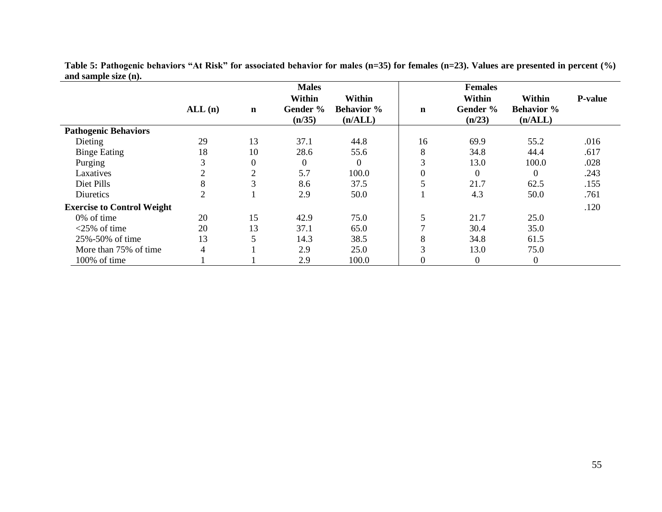|                                   |                |             | <b>Males</b>                        |                                        |                | <b>Females</b>               |                                        |                |
|-----------------------------------|----------------|-------------|-------------------------------------|----------------------------------------|----------------|------------------------------|----------------------------------------|----------------|
|                                   | ALL(n)         | $\mathbf n$ | <b>Within</b><br>Gender %<br>(n/35) | Within<br><b>Behavior</b> %<br>(n/ALL) | $\mathbf n$    | Within<br>Gender %<br>(n/23) | Within<br><b>Behavior</b> %<br>(n/ALL) | <b>P-value</b> |
| <b>Pathogenic Behaviors</b>       |                |             |                                     |                                        |                |                              |                                        |                |
| Dieting                           | 29             | 13          | 37.1                                | 44.8                                   | 16             | 69.9                         | 55.2                                   | .016           |
| <b>Binge Eating</b>               | 18             | 10          | 28.6                                | 55.6                                   | 8              | 34.8                         | 44.4                                   | .617           |
| Purging                           | 3              | 0           | $\boldsymbol{0}$                    | $\overline{0}$                         | 3              | 13.0                         | 100.0                                  | .028           |
| Laxatives                         | $\overline{2}$ | 2           | 5.7                                 | 100.0                                  | $\mathbf{0}$   | $\Omega$                     | $\Omega$                               | .243           |
| Diet Pills                        | 8              | 3           | 8.6                                 | 37.5                                   | 5              | 21.7                         | 62.5                                   | .155           |
| Diuretics                         | $\overline{2}$ |             | 2.9                                 | 50.0                                   |                | 4.3                          | 50.0                                   | .761           |
| <b>Exercise to Control Weight</b> |                |             |                                     |                                        |                |                              |                                        | .120           |
| 0% of time                        | 20             | 15          | 42.9                                | 75.0                                   | 5              | 21.7                         | 25.0                                   |                |
| $<$ 25% of time                   | 20             | 13          | 37.1                                | 65.0                                   | ⇁              | 30.4                         | 35.0                                   |                |
| 25%-50% of time                   | 13             | 5           | 14.3                                | 38.5                                   | 8              | 34.8                         | 61.5                                   |                |
| More than 75% of time             | 4              |             | 2.9                                 | 25.0                                   | 3              | 13.0                         | 75.0                                   |                |
| 100% of time                      |                |             | 2.9                                 | 100.0                                  | $\overline{0}$ | $\overline{0}$               | $\boldsymbol{0}$                       |                |

**Table 5: Pathogenic behaviors "At Risk" for associated behavior for males (n=35) for females (n=23). Values are presented in percent (%) and sample size (n).**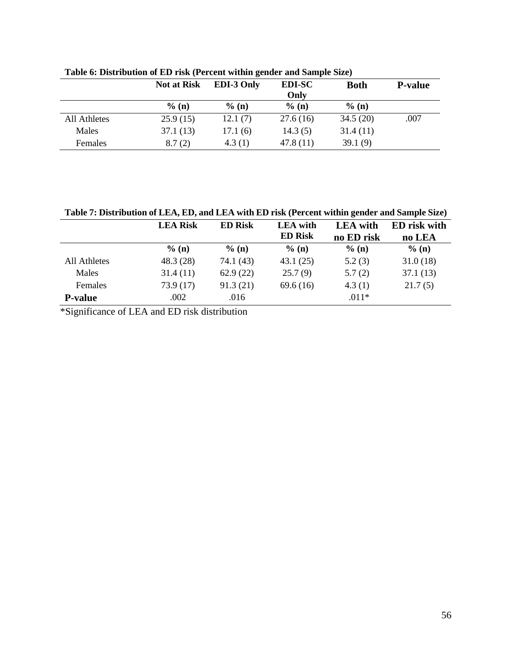|              | <b>Not at Risk</b> | <b>EDI-3 Only</b> | <b>EDI-SC</b> | <b>Both</b> | <b>P-value</b> |
|--------------|--------------------|-------------------|---------------|-------------|----------------|
|              |                    |                   | Only          |             |                |
|              | % (n)              | % (n)             | % (n)         | $%$ (n)     |                |
| All Athletes | 25.9(15)           | 12.1(7)           | 27.6(16)      | 34.5(20)    | .007           |
| Males        | 37.1(13)           | 17.1(6)           | 14.3(5)       | 31.4(11)    |                |
| Females      | 8.7(2)             | 4.3(1)            | 47.8(11)      | 39.1(9)     |                |

**Table 6: Distribution of ED risk (Percent within gender and Sample Size)**

**Table 7: Distribution of LEA, ED, and LEA with ED risk (Percent within gender and Sample Size)**

|                | <b>LEA Risk</b> | <b>ED Risk</b> | <b>LEA</b> with<br><b>ED Risk</b> | <b>LEA</b> with<br>no ED risk | <b>ED</b> risk with<br>no LEA |
|----------------|-----------------|----------------|-----------------------------------|-------------------------------|-------------------------------|
|                | % (n)           | $\%$ (n)       | $\%$ (n)                          | % (n)                         | $\%$ (n)                      |
| All Athletes   | 48.3(28)        | 74.1 (43)      | 43.1(25)                          | 5.2(3)                        | 31.0(18)                      |
| Males          | 31.4(11)        | 62.9(22)       | 25.7(9)                           | 5.7(2)                        | 37.1(13)                      |
| Females        | 73.9(17)        | 91.3(21)       | 69.6(16)                          | 4.3(1)                        | 21.7(5)                       |
| <b>P-value</b> | .002            | .016           |                                   | $.011*$                       |                               |

\*Significance of LEA and ED risk distribution